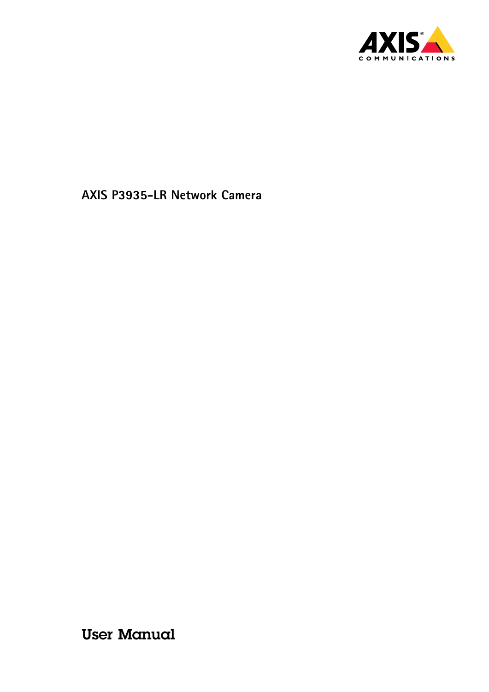

User Manual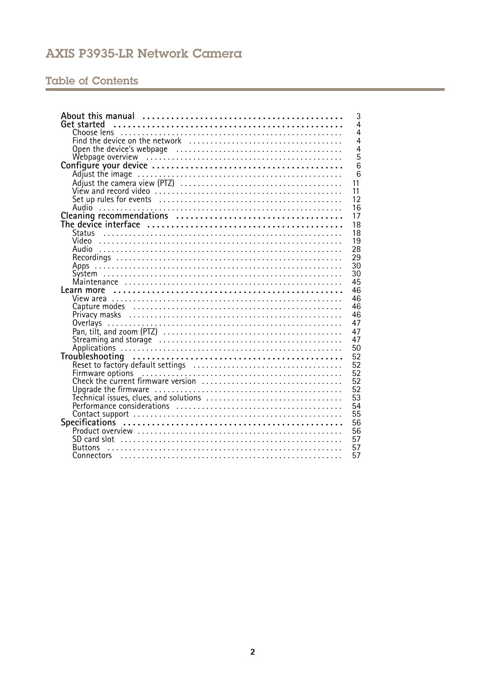## **Table of Contents**

| 3<br>$\overline{4}$<br>Get started                                                                 |
|----------------------------------------------------------------------------------------------------|
| $\overline{4}$                                                                                     |
| $\overline{4}$                                                                                     |
| $\overline{4}$                                                                                     |
| 5                                                                                                  |
| 6                                                                                                  |
| Webpage overview<br>Configure your device<br>Adjust the image                                      |
| 6                                                                                                  |
| 11                                                                                                 |
| Adjust the things the million (PTZ)<br>Adjust the camera view (PTZ)<br>View and record video<br>11 |
| 12                                                                                                 |
| 16                                                                                                 |
| 17                                                                                                 |
| 18                                                                                                 |
| 18                                                                                                 |
| 19                                                                                                 |
| 28                                                                                                 |
| 29                                                                                                 |
| 30                                                                                                 |
| 30                                                                                                 |
| 45                                                                                                 |
| 46                                                                                                 |
| 46                                                                                                 |
| 46                                                                                                 |
|                                                                                                    |
| 46                                                                                                 |
| 47                                                                                                 |
| 47                                                                                                 |
| 47                                                                                                 |
| 50                                                                                                 |
| 52                                                                                                 |
| Reset to factory default settings<br>Firmware options<br>Check the current firmware version<br>52  |
| 52                                                                                                 |
| 52                                                                                                 |
| 52                                                                                                 |
| 53                                                                                                 |
| 54                                                                                                 |
| 55                                                                                                 |
| 56                                                                                                 |
| 56                                                                                                 |
| 57                                                                                                 |
| 57<br><b>Buttons</b>                                                                               |
| 57                                                                                                 |
| Connectors                                                                                         |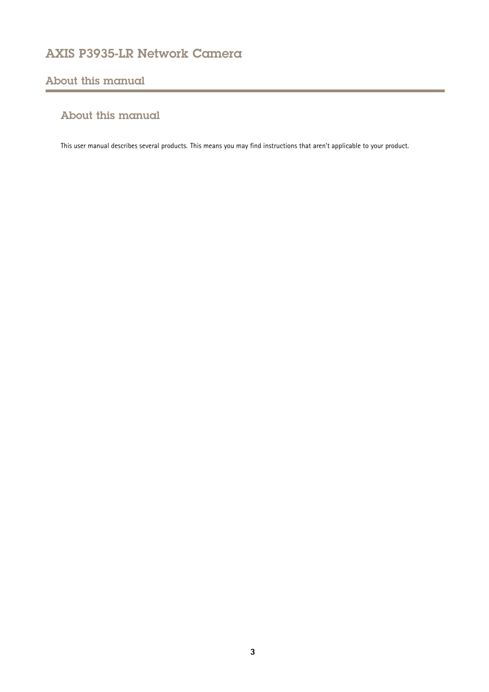## <span id="page-2-0"></span>About this manual

## About this manual

This user manual describes several products. This means you may find instructions that aren't applicable to your product.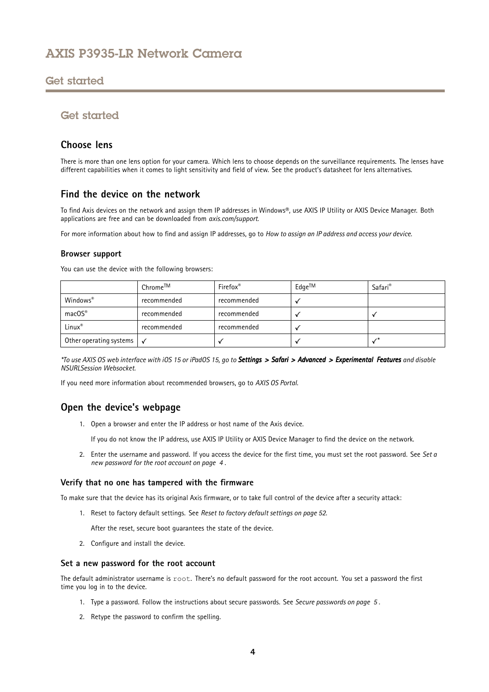### <span id="page-3-0"></span>Get started

### Get started

### **Choose lens**

There is more than one lens option for your camera. Which lens to choose depends on the surveillance requirements. The lenses have different capabilities when it comes to light sensitivity and field of view. See the product's datasheet for lens alternatives.

### **Find the device on the network**

To find Axis devices on the network and assign them IP addresses in Windows®, use AXIS IP Utility or AXIS Device Manager. Both applications are free and can be downloaded from *[axis.com/support](https://www.axis.com/support)*.

For more information about how to find and assign IP addresses, go to *How to assign an IP [address](https://www.axis.com/products/online-manual/i90000) and access your device*.

#### **Browser support**

|                                   | Chrome™     | Firefox <sup>®</sup> | Edge™ | Safari <sup>®</sup> |
|-----------------------------------|-------------|----------------------|-------|---------------------|
| Windows <sup>®</sup>              | recommended | recommended          |       |                     |
| $macOS^*$                         | recommended | recommended          |       |                     |
| Linux <sup>®</sup>                | recommended | recommended          |       |                     |
| Other operating systems $\sqrt{}$ |             |                      |       |                     |

You can use the device with the following browsers:

\*To use AXIS OS web interface with iOS 15 or iPadOS 15, go to Settings > Safari > Advanced > Experimental Features and disable *NSURLSession Websocket.*

If you need more information about recommended browsers, go to *AXIS OS [Portal](https://help.axis.com/axis-os#browser-support)*.

### **Open the device's webpage**

1. Open <sup>a</sup> browser and enter the IP address or host name of the Axis device.

If you do not know the IP address, use AXIS IP Utility or AXIS Device Manager to find the device on the network.

2. Enter the username and password. If you access the device for the first time, you must set the root password. See *Set <sup>a</sup> new password for the root account on page <sup>4</sup>* .

#### **Verify that no one has tampered with the firmware**

To make sure that the device has its original Axis firmware, or to take full control of the device after <sup>a</sup> security attack:

1. Reset to factory default settings. See *Reset to factory default [settings](#page-51-0) on page [52](#page-51-0)*.

After the reset, secure boot guarantees the state of the device.

2. Configure and install the device.

#### **Set <sup>a</sup> new password for the root account**

The default administrator username is root. There's no default password for the root account. You set <sup>a</sup> password the first time you log in to the device.

- 1. Type <sup>a</sup> password. Follow the instructions about secure passwords. See *Secure [passwords](#page-4-0) on page [5](#page-4-0)* .
- 2. Retype the password to confirm the spelling.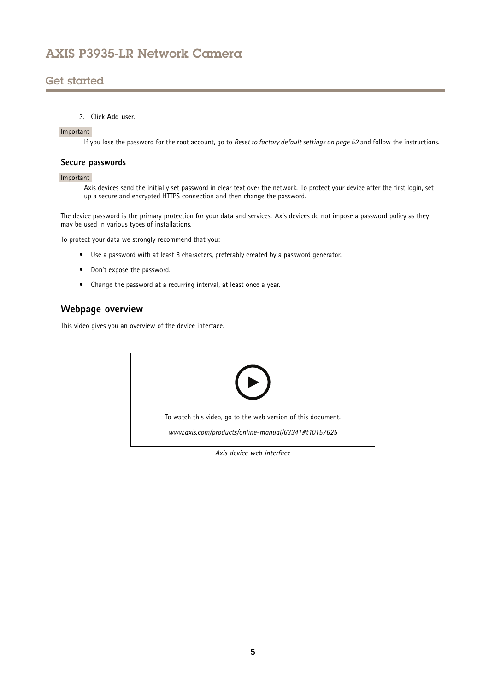## <span id="page-4-0"></span>Get started

### 3. Click **Add user**.

#### Important

If you lose the password for the root account, go to *Reset to factory default [settings](#page-51-0) on page [52](#page-51-0)* and follow the instructions.

#### **Secure passwords**

#### Important

Axis devices send the initially set password in clear text over the network. To protect your device after the first login, set up <sup>a</sup> secure and encrypted HTTPS connection and then change the password.

The device password is the primary protection for your data and services. Axis devices do not impose <sup>a</sup> password policy as they may be used in various types of installations.

To protect your data we strongly recommend that you:

- Use <sup>a</sup> password with at least 8 characters, preferably created by <sup>a</sup> password generator.
- Don't expose the password.
- Change the password at <sup>a</sup> recurring interval, at least once <sup>a</sup> year.

## **Webpage overview**

This video gives you an overview of the device interface.

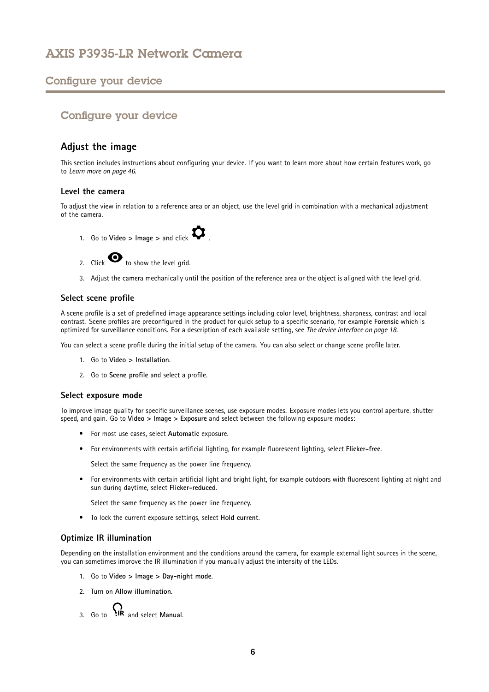### <span id="page-5-0"></span>Configure your device

### Configure your device

### **Adjust the image**

This section includes instructions about configuring your device. If you want to learn more about how certain features work, go to *[Learn](#page-45-0) more on page [46](#page-45-0)*.

#### **Level the camera**

To adjust the view in relation to <sup>a</sup> reference area or an object, use the level grid in combination with <sup>a</sup> mechanical adjustment of the camera.



- 2. Click  $\bullet$  to show the level grid.
- 3. Adjust the camera mechanically until the position of the reference area or the object is aligned with the level grid.

#### **Select scene profile**

A scene profile is <sup>a</sup> set of predefined image appearance settings including color level, brightness, sharpness, contrast and local contrast. Scene profiles are preconfigured in the product for quick setup to <sup>a</sup> specific scenario, for example **Forensic** which is optimized for surveillance conditions. For <sup>a</sup> description of each available setting, see *The device [interface](#page-17-0) on page [18](#page-17-0)*.

You can select <sup>a</sup> scene profile during the initial setup of the camera. You can also select or change scene profile later.

- 1. Go to **Video <sup>&</sup>gt; Installation**.
- 2. Go to **Scene profile** and select <sup>a</sup> profile.

#### **Select exposure mode**

To improve image quality for specific surveillance scenes, use exposure modes. Exposure modes lets you control aperture, shutter speed, and gain. Go to **Video <sup>&</sup>gt; Image <sup>&</sup>gt; Exposure** and select between the following exposure modes:

- For most use cases, select **Automatic** exposure.
- For environments with certain artificial lighting, for example fluorescent lighting, select **Flicker-free**.

Select the same frequency as the power line frequency.

• For environments with certain artificial light and bright light, for example outdoors with fluorescent lighting at night and sun during daytime, select **Flicker-reduced**.

Select the same frequency as the power line frequency.

•To lock the current exposure settings, select **Hold current**.

### **Optimize IR illumination**

Depending on the installation environment and the conditions around the camera, for example external light sources in the scene, you can sometimes improve the IR illumination if you manually adjust the intensity of the LEDs.

- 1. Go to **Video <sup>&</sup>gt; Image <sup>&</sup>gt; Day-night mode**.
- 2. Turn on **Allow illumination**.
- $3.$  Go to  $\left\{\right\}$  and select Manual.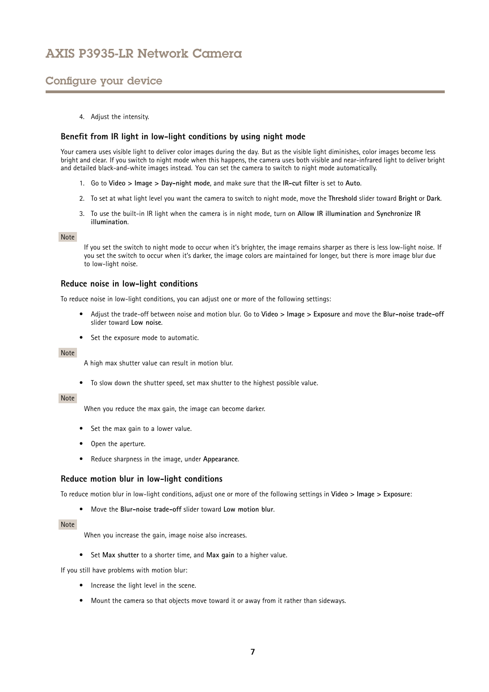## Configure your device

4. Adjust the intensity.

#### **Benefit from IR light in low-light conditions by using night mode**

Your camera uses visible light to deliver color images during the day. But as the visible light diminishes, color images become less bright and clear. If you switch to night mode when this happens, the camera uses both visible and near-infrared light to deliver bright and detailed black-and-white images instead. You can set the camera to switch to night mode automatically.

- 1. Go to **Video <sup>&</sup>gt; Image <sup>&</sup>gt; Day-night mode**, and make sure that the **IR-cut filter** is set to **Auto**.
- 2. To set at what light level you want the camera to switch to night mode, move the **Threshold** slider toward **Bright** or **Dark**.
- 3. To use the built-in IR light when the camera is in night mode, turn on **Allow IR illumination** and **Synchronize IR illumination**.

#### Note

If you set the switch to night mode to occur when it's brighter, the image remains sharper as there is less low-light noise. If you set the switch to occur when it's darker, the image colors are maintained for longer, but there is more image blur due to low-light noise.

#### **Reduce noise in low-light conditions**

To reduce noise in low-light conditions, you can adjust one or more of the following settings:

- • Adjust the trade-off between noise and motion blur. Go to **Video <sup>&</sup>gt; Image <sup>&</sup>gt; Exposure** and move the **Blur-noise trade-off** slider toward **Low noise**.
- Set the exposure mode to automatic.

Note

A high max shutter value can result in motion blur.

• To slow down the shutter speed, set max shutter to the highest possible value.

#### Note

When you reduce the max gain, the image can become darker.

- Set the max gain to <sup>a</sup> lower value.
- Open the aperture.
- Reduce sharpness in the image, under **Appearance**.

#### **Reduce motion blur in low-light conditions**

To reduce motion blur in low-light conditions, adjust one or more of the following settings in **Video <sup>&</sup>gt; Image <sup>&</sup>gt; Exposure**:

• Move the **Blur-noise trade-off** slider toward **Low motion blur**.

#### Note

When you increase the gain, image noise also increases.

• Set **Max shutter** to <sup>a</sup> shorter time, and **Max gain** to <sup>a</sup> higher value.

If you still have problems with motion blur:

- Increase the light level in the scene.
- Mount the camera so that objects move toward it or away from it rather than sideways.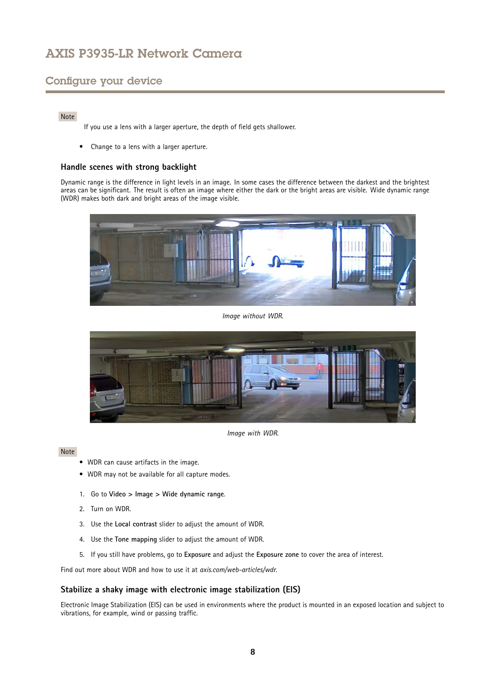## Configure your device

#### Note

If you use <sup>a</sup> lens with <sup>a</sup> larger aperture, the depth of field gets shallower.

• Change to <sup>a</sup> lens with <sup>a</sup> larger aperture.

### **Handle scenes with strong backlight**

Dynamic range is the difference in light levels in an image. In some cases the difference between the darkest and the brightest areas can be significant. The result is often an image where either the dark or the bright areas are visible. Wide dynamic range (WDR) makes both dark and bright areas of the image visible.



*Image without WDR.*



*Image with WDR.*

#### Note

- WDR can cause artifacts in the image.
- WDR may not be available for all capture modes.
- 1. Go to **Video <sup>&</sup>gt; Image <sup>&</sup>gt; Wide dynamic range**.
- 2. Turn on WDR.
- 3. Use the **Local contrast** slider to adjust the amount of WDR.
- 4. Use the **Tone mapping** slider to adjust the amount of WDR.
- 5. If you still have problems, go to **Exposure** and adjust the **Exposure zone** to cover the area of interest.

Find out more about WDR and how to use it at *[axis.com/web-articles/wdr](https://www.axis.com/sv-se/learning/web-articles/wide-dynamic-range/index)*.

#### **Stabilize <sup>a</sup> shaky image with electronic image stabilization (EIS)**

Electronic Image Stabilization (EIS) can be used in environments where the product is mounted in an exposed location and subject to vibrations, for example, wind or passing traffic.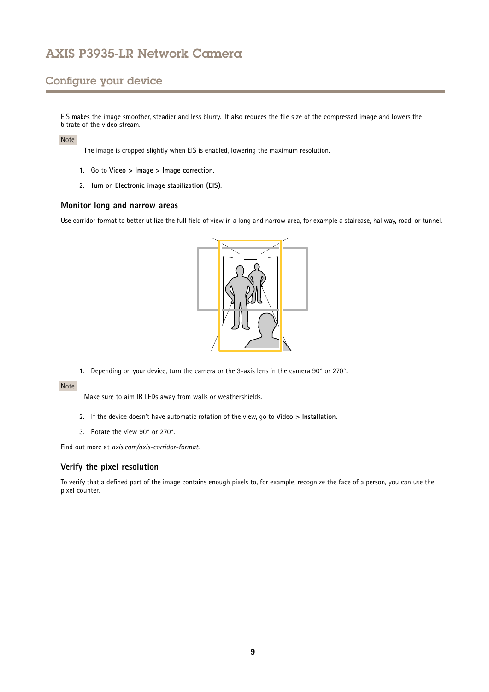## Configure your device

EIS makes the image smoother, steadier and less blurry. It also reduces the file size of the compressed image and lowers the bitrate of the video stream.

#### Note

The image is cropped slightly when EIS is enabled, lowering the maximum resolution.

- 1. Go to **Video <sup>&</sup>gt; Image <sup>&</sup>gt; Image correction**.
- 2. Turn on **Electronic image stabilization (EIS)**.

#### **Monitor long and narrow areas**

Use corridor format to better utilize the full field of view in <sup>a</sup> long and narrow area, for example <sup>a</sup> staircase, hallway, road, or tunnel.



1. Depending on your device, turn the camera or the 3-axis lens in the camera 90° or 270°.

### Note

Make sure to aim IR LEDs away from walls or weathershields.

- 2. If the device doesn't have automatic rotation of the view, go to **Video <sup>&</sup>gt; Installation**.
- 3. Rotate the view 90° or 270°.

Find out more at *[axis.com/axis-corridor-format](https://www.axis.com/axis-corridor-format)*.

### **Verify the pixel resolution**

To verify that <sup>a</sup> defined part of the image contains enough pixels to, for example, recognize the face of <sup>a</sup> person, you can use the pixel counter.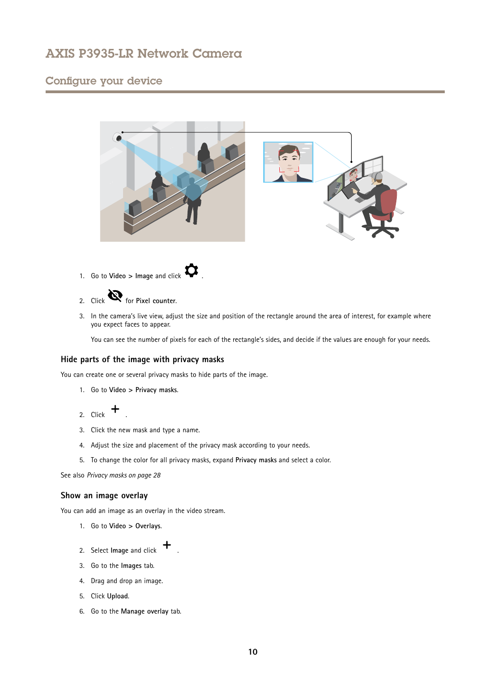### Configure your device



- 1. Go to **Video**  $>$  **Image** and click  $\bullet$
- 2. Click **R** for Pixel counter.
- 3. In the camera's live view, adjust the size and position of the rectangle around the area of interest, for example where you expect faces to appear.

You can see the number of pixels for each of the rectangle's sides, and decide if the values are enough for your needs.

### **Hide parts of the image with privacy masks**

You can create one or several privacy masks to hide parts of the image.

- 1. Go to **Video <sup>&</sup>gt; Privacy masks**.
- 2. Click  $+$
- 3. Click the new mask and type <sup>a</sup> name.
- 4. Adjust the size and placement of the privacy mask according to your needs.
- 5. To change the color for all privacy masks, expand **Privacy masks** and select <sup>a</sup> color.

See also *[Privacy](#page-27-0) masks on page [28](#page-27-0)*

#### **Show an image overlay**

You can add an image as an overlay in the video stream.

- 1. Go to **Video <sup>&</sup>gt; Overlays**.
- 2. Select **Image** and click **+**
- 3. Go to the **Images** tab.
- 4. Drag and drop an image.
- 5. Click **Upload**.
- 6. Go to the **Manage overlay** tab.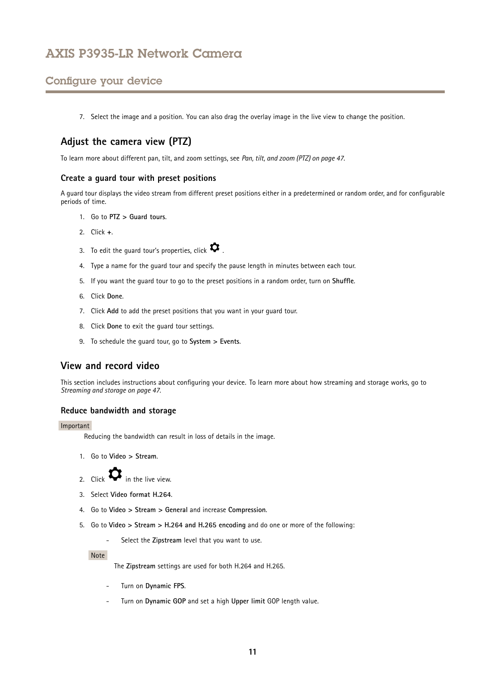### <span id="page-10-0"></span>Configure your device

7. Select the image and <sup>a</sup> position. You can also drag the overlay image in the live view to change the position.

### **Adjust the camera view (PTZ)**

To learn more about different pan, tilt, and zoom settings, see *Pan, tilt, and zoom [\(PTZ\)](#page-46-0) on page [47](#page-46-0)*.

#### **Create <sup>a</sup> guard tour with preset positions**

A guard tour displays the video stream from different preset positions either in <sup>a</sup> predetermined or random order, and for configurable periods of time.

- 1. Go to **PTZ <sup>&</sup>gt; Guard tours**.
- 2. Click **<sup>+</sup>**.
- 3. To edit the guard tour's properties, click  $\bullet$ .
- 4. Type <sup>a</sup> name for the guard tour and specify the pause length in minutes between each tour.
- 5. If you want the guard tour to go to the preset positions in <sup>a</sup> random order, turn on **Shuffle**.
- 6. Click **Done**.
- 7. Click **Add** to add the preset positions that you want in your guard tour.
- 8. Click **Done** to exit the guard tour settings.
- 9. To schedule the guard tour, go to **System <sup>&</sup>gt; Events**.

### **View and record video**

This section includes instructions about configuring your device. To learn more about how streaming and storage works, go to *[Streaming](#page-46-0) and storage on page [47](#page-46-0)*.

#### **Reduce bandwidth and storage**

#### Important

Reducing the bandwidth can result in loss of details in the image.

- 1. Go to **Video <sup>&</sup>gt; Stream**.
- 2. Click  $\bullet$  in the live view.
- 3. Select **Video format H.264**.
- 4. Go to **Video <sup>&</sup>gt; Stream <sup>&</sup>gt; General** and increase **Compression**.
- 5. Go to **Video <sup>&</sup>gt; Stream <sup>&</sup>gt; H.264 and H.265 encoding** and do one or more of the following:
	- Select the **Zipstream** level that you want to use.

Note

The **Zipstream** settings are used for both H.264 and H.265.

- Turn on **Dynamic FPS**.
- Turn on **Dynamic GOP** and set <sup>a</sup> high **Upper limit** GOP length value.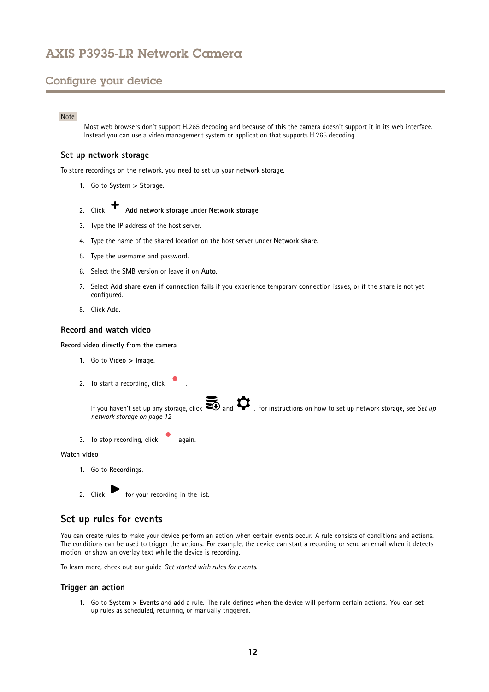### <span id="page-11-0"></span>Configure your device

#### Note

Most web browsers don't support H.265 decoding and because of this the camera doesn't support it in its web interface. Instead you can use <sup>a</sup> video management system or application that supports H.265 decoding.

### **Set up network storage**

To store recordings on the network, you need to set up your network storage.

- 1. Go to **System <sup>&</sup>gt; Storage**.
- 2. Click **Add network storage** under **Network storage**.
- 3. Type the IP address of the host server.
- 4. Type the name of the shared location on the host server under **Network share**.
- 5. Type the username and password.
- 6. Select the SMB version or leave it on **Auto**.
- 7. Select **Add share even if connection fails** if you experience temporary connection issues, or if the share is not yet configured.
- 8. Click **Add**.

#### **Record and watch video**

**Record video directly from the camera**

- 1. Go to **Video <sup>&</sup>gt; Image**.
- 2. To start a recording, click



2. Click for your recording in the list.

### **Set up rules for events**

You can create rules to make your device perform an action when certain events occur. A rule consists of conditions and actions. The conditions can be used to trigger the actions. For example, the device can start <sup>a</sup> recording or send an email when it detects motion, or show an overlay text while the device is recording.

To learn more, check out our guide *Get [started](https://help.axis.com/get-started-with-rules-for-events) with rules for events*.

### **Trigger an action**

1. Go to **System <sup>&</sup>gt; Events** and add <sup>a</sup> rule. The rule defines when the device will perform certain actions. You can set up rules as scheduled, recurring, or manually triggered.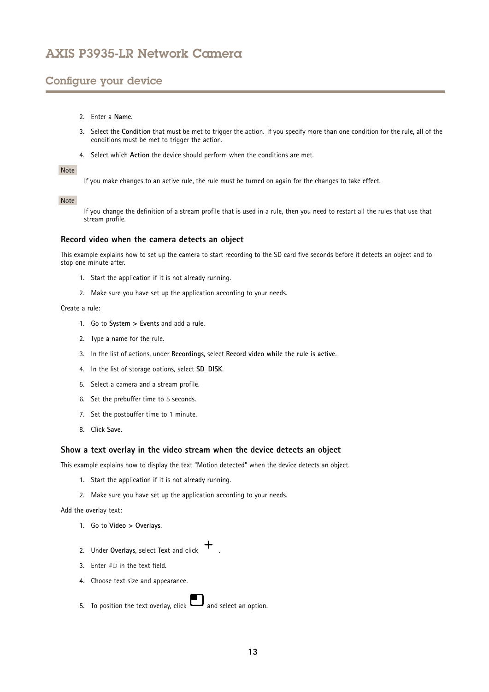### Configure your device

#### 2. Enter a **Name**.

- 3. Select the **Condition** that must be met to trigger the action. If you specify more than one condition for the rule, all of the conditions must be met to trigger the action.
- 4. Select which **Action** the device should perform when the conditions are met.

#### Note

If you make changes to an active rule, the rule must be turned on again for the changes to take effect.

#### Note

If you change the definition of <sup>a</sup> stream profile that is used in <sup>a</sup> rule, then you need to restart all the rules that use that stream profile.

#### **Record video when the camera detects an object**

This example explains how to set up the camera to start recording to the SD card five seconds before it detects an object and to stop one minute after.

- 1. Start the application if it is not already running.
- 2. Make sure you have set up the application according to your needs.

#### Create <sup>a</sup> rule:

- 1. Go to **System <sup>&</sup>gt; Events** and add <sup>a</sup> rule.
- 2. Type <sup>a</sup> name for the rule.
- 3. In the list of actions, under **Recordings**, select **Record video while the rule is active**.
- 4. In the list of storage options, select **SD\_DISK**.
- 5. Select <sup>a</sup> camera and <sup>a</sup> stream profile.
- 6. Set the prebuffer time to 5 seconds.
- 7. Set the postbuffer time to <sup>1</sup> minute.
- 8. Click **Save**.

#### **Show <sup>a</sup> text overlay in the video stream when the device detects an object**

This example explains how to display the text "Motion detected" when the device detects an object.

- 1. Start the application if it is not already running.
- 2. Make sure you have set up the application according to your needs.

Add the overlay text:

- 1. Go to **Video <sup>&</sup>gt; Overlays**.
- 2. Under **Overlays**, select **Text** and click .
- 3. Enter #D in the text field.
- 4. Choose text size and appearance.
- 5. To position the text overlay, click  $\Box$  and select an option.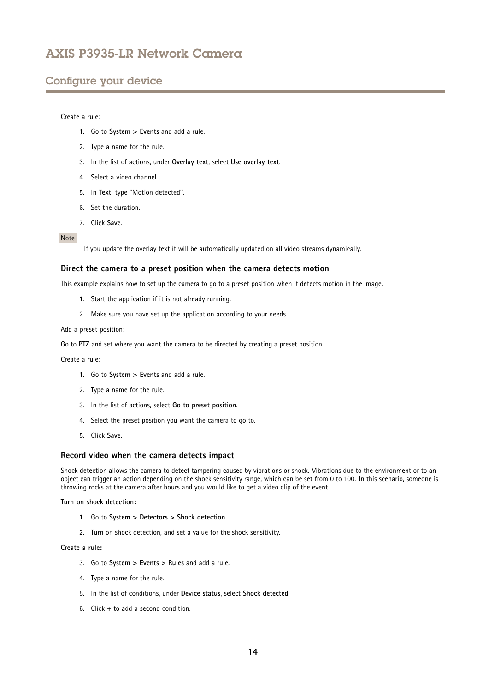### Configure your device

#### Create <sup>a</sup> rule:

- 1. Go to **System <sup>&</sup>gt; Events** and add <sup>a</sup> rule.
- 2. Type <sup>a</sup> name for the rule.
- 3. In the list of actions, under **Overlay text**, select **Use overlay text**.
- 4. Select <sup>a</sup> video channel.
- 5. In **Text**, type "Motion detected".
- 6. Set the duration.
- 7. Click **Save**.

#### Note

If you update the overlay text it will be automatically updated on all video streams dynamically.

#### **Direct the camera to <sup>a</sup> preset position when the camera detects motion**

This example explains how to set up the camera to go to <sup>a</sup> preset position when it detects motion in the image.

- 1. Start the application if it is not already running.
- 2. Make sure you have set up the application according to your needs.

#### Add <sup>a</sup> preset position:

Go to **PTZ** and set where you want the camera to be directed by creating <sup>a</sup> preset position.

Create <sup>a</sup> rule:

- 1. Go to **System <sup>&</sup>gt; Events** and add <sup>a</sup> rule.
- 2. Type <sup>a</sup> name for the rule.
- 3. In the list of actions, select **Go to preset position**.
- 4. Select the preset position you want the camera to go to.
- 5. Click **Save**.

#### **Record video when the camera detects impact**

Shock detection allows the camera to detect tampering caused by vibrations or shock. Vibrations due to the environment or to an object can trigger an action depending on the shock sensitivity range, which can be set from 0 to 100. In this scenario, someone is throwing rocks at the camera after hours and you would like to get <sup>a</sup> video clip of the event.

**Turn on shock detection:**

- 1. Go to **System <sup>&</sup>gt; Detectors <sup>&</sup>gt; Shock detection**.
- 2. Turn on shock detection, and set <sup>a</sup> value for the shock sensitivity.

#### **Create <sup>a</sup> rule:**

- 3. Go to **System <sup>&</sup>gt; Events <sup>&</sup>gt; Rules** and add <sup>a</sup> rule.
- 4. Type <sup>a</sup> name for the rule.
- 5. In the list of conditions, under **Device status**, select **Shock detected**.
- 6. Click **<sup>+</sup>** to add <sup>a</sup> second condition.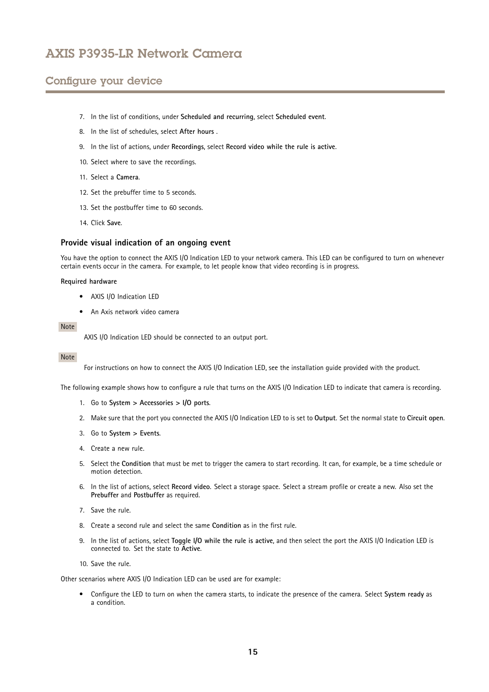## Configure your device

- 7. In the list of conditions, under **Scheduled and recurring**, select **Scheduled event**.
- 8. In the list of schedules, select **After hours** .
- 9. In the list of actions, under **Recordings**, select **Record video while the rule is active**.
- 10. Select where to save the recordings.
- 11. Select <sup>a</sup> **Camera**.
- 12. Set the prebuffer time to 5 seconds.
- 13. Set the postbuffer time to 60 seconds.
- 14. Click **Save**.

#### **Provide visual indication of an ongoing event**

You have the option to connect the AXIS I/O Indication LED to your network camera. This LED can be configured to turn on whenever certain events occur in the camera. For example, to let people know that video recording is in progress.

#### **Required hardware**

- AXIS I/O Indication LED
- An Axis network video camera

#### Note

AXIS I/O Indication LED should be connected to an output port.

#### Note

For instructions on how to connect the AXIS I/O Indication LED, see the installation guide provided with the product.

The following example shows how to configure a rule that turns on the AXIS I/O Indication LED to indicate that camera is recording.

- 1. Go to **System <sup>&</sup>gt; Accessories <sup>&</sup>gt; I/O ports**.
- 2. Make sure that the port you connected the AXIS I/O Indication LED to is set to **Output**. Set the normal state to **Circuit open**.
- 3. Go to **System <sup>&</sup>gt; Events**.
- 4. Create <sup>a</sup> new rule.
- 5. Select the **Condition** that must be met to trigger the camera to start recording. It can, for example, be <sup>a</sup> time schedule or motion detection.
- 6. In the list of actions, select **Record video**. Select <sup>a</sup> storage space. Select <sup>a</sup> stream profile or create <sup>a</sup> new. Also set the **Prebuffer** and **Postbuffer** as required.
- 7. Save the rule.
- 8. Create <sup>a</sup> second rule and select the same **Condition** as in the first rule.
- 9. In the list of actions, select **Toggle I/O while the rule is active**, and then select the port the AXIS I/O Indication LED is connected to. Set the state to **Active**.
- 10. Save the rule.

Other scenarios where AXIS I/O Indication LED can be used are for example:

• Configure the LED to turn on when the camera starts, to indicate the presence of the camera. Select **System ready** as a condition.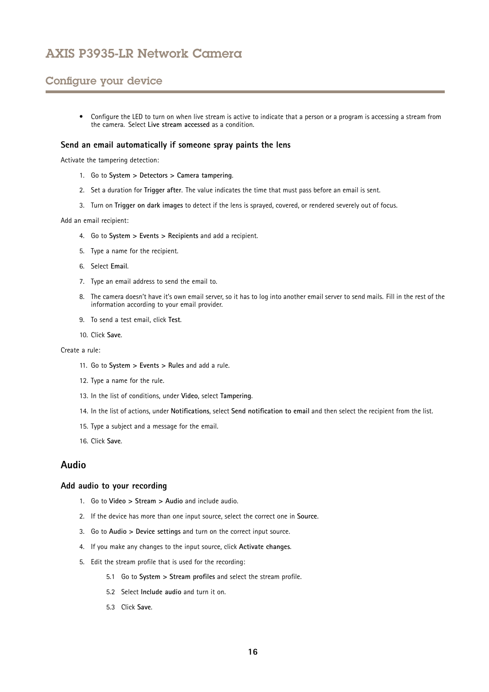### <span id="page-15-0"></span>Configure your device

• Configure the LED to turn on when live stream is active to indicate that <sup>a</sup> person or <sup>a</sup> program is accessing <sup>a</sup> stream from the camera. Select **Live stream accessed** as <sup>a</sup> condition.

#### **Send an email automatically if someone spray paints the lens**

Activate the tampering detection:

- 1. Go to **System <sup>&</sup>gt; Detectors <sup>&</sup>gt; Camera tampering**.
- 2. Set <sup>a</sup> duration for **Trigger after**. The value indicates the time that must pass before an email is sent.
- 3. Turn on **Trigger on dark images** to detect if the lens is sprayed, covered, or rendered severely out of focus.

#### Add an email recipient:

- 4. Go to **System <sup>&</sup>gt; Events <sup>&</sup>gt; Recipients** and add <sup>a</sup> recipient.
- 5. Type <sup>a</sup> name for the recipient.
- 6. Select **Email**.
- 7. Type an email address to send the email to.
- 8. The camera doesn't have it's own email server, so it has to log into another email server to send mails. Fill in the rest of the information according to your email provider.
- 9. To send <sup>a</sup> test email, click **Test**.
- 10. Click **Save**.

#### Create <sup>a</sup> rule:

- 11. Go to **System <sup>&</sup>gt; Events <sup>&</sup>gt; Rules** and add <sup>a</sup> rule.
- 12. Type <sup>a</sup> name for the rule.
- 13. In the list of conditions, under **Video**, select **Tampering**.
- 14. In the list of actions, under **Notifications**, select **Send notification to email** and then select the recipient from the list.
- 15. Type <sup>a</sup> subject and <sup>a</sup> message for the email.
- 16. Click **Save**.

### **Audio**

#### **Add audio to your recording**

- 1. Go to **Video <sup>&</sup>gt; Stream <sup>&</sup>gt; Audio** and include audio.
- 2. If the device has more than one input source, select the correct one in **Source**.
- 3. Go to **Audio <sup>&</sup>gt; Device settings** and turn on the correct input source.
- 4. If you make any changes to the input source, click **Activate changes**.
- 5. Edit the stream profile that is used for the recording:
	- 5.1 Go to **System <sup>&</sup>gt; Stream profiles** and select the stream profile.
	- 5.2 Select **Include audio** and turn it on.
	- 5.3 Click **Save**.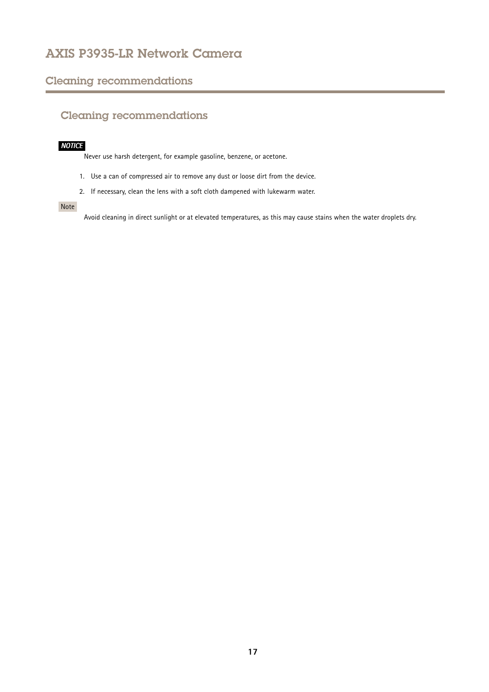## <span id="page-16-0"></span>Cleaning recommendations

## Cleaning recommendations

### *NOTICE*

Never use harsh detergent, for example gasoline, benzene, or acetone.

- 1. Use <sup>a</sup> can of compressed air to remove any dust or loose dirt from the device.
- 2. If necessary, clean the lens with <sup>a</sup> soft cloth dampened with lukewarm water.

### Note

Avoid cleaning in direct sunlight or at elevated temperatures, as this may cause stains when the water droplets dry.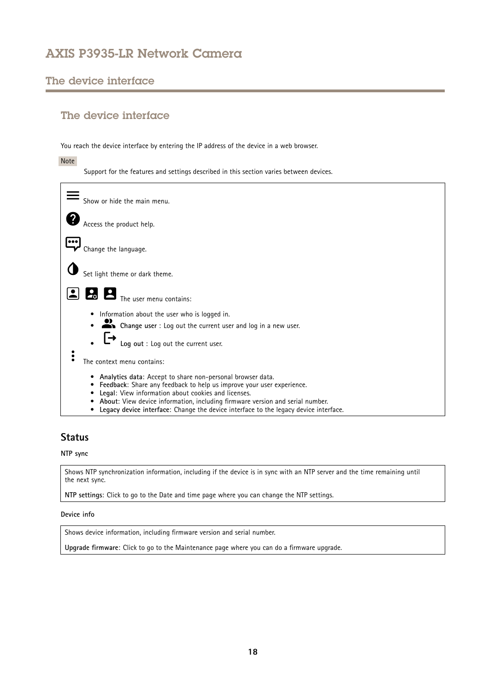## <span id="page-17-0"></span>The device interface

## The device interface

You reach the device interface by entering the IP address of the device in <sup>a</sup> web browser.

Note

Support for the features and settings described in this section varies between devices.



## **Status**

### **NTP sync**

Shows NTP synchronization information, including if the device is in sync with an NTP server and the time remaining until the next sync.

**NTP settings**: Click to go to the Date and time page where you can change the NTP settings.

#### **Device info**

Shows device information, including firmware version and serial number.

**Upgrade firmware**: Click to go to the Maintenance page where you can do <sup>a</sup> firmware upgrade.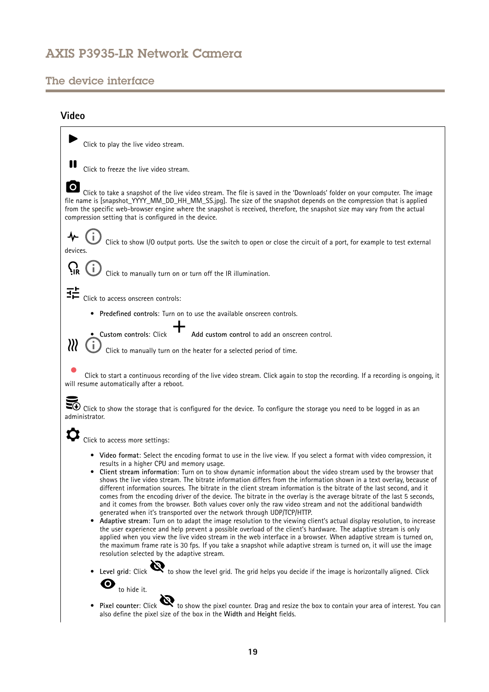## <span id="page-18-0"></span>The device interface

## **Video**

| Click to play the live video stream.                                                                                                                                                                                                                                                                                                                                                                                                                                                                                                                                                                                                                                                                                                                                                                                                                                                                                                                                                                                                                                                                                                                                                                                                                                                                                                                                                                                                                                                                                                                                                                                                                                                                                             |
|----------------------------------------------------------------------------------------------------------------------------------------------------------------------------------------------------------------------------------------------------------------------------------------------------------------------------------------------------------------------------------------------------------------------------------------------------------------------------------------------------------------------------------------------------------------------------------------------------------------------------------------------------------------------------------------------------------------------------------------------------------------------------------------------------------------------------------------------------------------------------------------------------------------------------------------------------------------------------------------------------------------------------------------------------------------------------------------------------------------------------------------------------------------------------------------------------------------------------------------------------------------------------------------------------------------------------------------------------------------------------------------------------------------------------------------------------------------------------------------------------------------------------------------------------------------------------------------------------------------------------------------------------------------------------------------------------------------------------------|
| Click to freeze the live video stream.                                                                                                                                                                                                                                                                                                                                                                                                                                                                                                                                                                                                                                                                                                                                                                                                                                                                                                                                                                                                                                                                                                                                                                                                                                                                                                                                                                                                                                                                                                                                                                                                                                                                                           |
| Click to take a snapshot of the live video stream. The file is saved in the 'Downloads' folder on your computer. The image<br>file name is [snapshot_YYYY_MM_DD_HH_MM_SS.jpg]. The size of the snapshot depends on the compression that is applied<br>from the specific web-browser engine where the snapshot is received, therefore, the snapshot size may vary from the actual<br>compression setting that is configured in the device.                                                                                                                                                                                                                                                                                                                                                                                                                                                                                                                                                                                                                                                                                                                                                                                                                                                                                                                                                                                                                                                                                                                                                                                                                                                                                        |
| Click to show I/O output ports. Use the switch to open or close the circuit of a port, for example to test external<br>devices.                                                                                                                                                                                                                                                                                                                                                                                                                                                                                                                                                                                                                                                                                                                                                                                                                                                                                                                                                                                                                                                                                                                                                                                                                                                                                                                                                                                                                                                                                                                                                                                                  |
| Click to manually turn on or turn off the IR illumination.                                                                                                                                                                                                                                                                                                                                                                                                                                                                                                                                                                                                                                                                                                                                                                                                                                                                                                                                                                                                                                                                                                                                                                                                                                                                                                                                                                                                                                                                                                                                                                                                                                                                       |
| 法<br>Click to access onscreen controls:                                                                                                                                                                                                                                                                                                                                                                                                                                                                                                                                                                                                                                                                                                                                                                                                                                                                                                                                                                                                                                                                                                                                                                                                                                                                                                                                                                                                                                                                                                                                                                                                                                                                                          |
| Predefined controls: Turn on to use the available onscreen controls.                                                                                                                                                                                                                                                                                                                                                                                                                                                                                                                                                                                                                                                                                                                                                                                                                                                                                                                                                                                                                                                                                                                                                                                                                                                                                                                                                                                                                                                                                                                                                                                                                                                             |
| Add custom control to add an onscreen control.<br>· Custom controls: Click                                                                                                                                                                                                                                                                                                                                                                                                                                                                                                                                                                                                                                                                                                                                                                                                                                                                                                                                                                                                                                                                                                                                                                                                                                                                                                                                                                                                                                                                                                                                                                                                                                                       |
| સિ<br>Click to manually turn on the heater for a selected period of time.                                                                                                                                                                                                                                                                                                                                                                                                                                                                                                                                                                                                                                                                                                                                                                                                                                                                                                                                                                                                                                                                                                                                                                                                                                                                                                                                                                                                                                                                                                                                                                                                                                                        |
| Click to start a continuous recording of the live video stream. Click again to stop the recording. If a recording is ongoing, it<br>will resume automatically after a reboot.                                                                                                                                                                                                                                                                                                                                                                                                                                                                                                                                                                                                                                                                                                                                                                                                                                                                                                                                                                                                                                                                                                                                                                                                                                                                                                                                                                                                                                                                                                                                                    |
| $\blacktriangleright$ Click to show the storage that is configured for the device. To configure the storage you need to be logged in as an<br>administrator.                                                                                                                                                                                                                                                                                                                                                                                                                                                                                                                                                                                                                                                                                                                                                                                                                                                                                                                                                                                                                                                                                                                                                                                                                                                                                                                                                                                                                                                                                                                                                                     |
| Click to access more settings:                                                                                                                                                                                                                                                                                                                                                                                                                                                                                                                                                                                                                                                                                                                                                                                                                                                                                                                                                                                                                                                                                                                                                                                                                                                                                                                                                                                                                                                                                                                                                                                                                                                                                                   |
| • Video format: Select the encoding format to use in the live view. If you select a format with video compression, it<br>results in a higher CPU and memory usage.<br>Client stream information: Turn on to show dynamic information about the video stream used by the browser that<br>$\bullet$<br>shows the live video stream. The bitrate information differs from the information shown in a text overlay, because of<br>different information sources. The bitrate in the client stream information is the bitrate of the last second, and it<br>comes from the encoding driver of the device. The bitrate in the overlay is the average bitrate of the last 5 seconds,<br>and it comes from the browser. Both values cover only the raw video stream and not the additional bandwidth<br>generated when it's transported over the network through UDP/TCP/HTTP.<br>Adaptive stream: Turn on to adapt the image resolution to the viewing client's actual display resolution, to increase<br>٠<br>the user experience and help prevent a possible overload of the client's hardware. The adaptive stream is only<br>applied when you view the live video stream in the web interface in a browser. When adaptive stream is turned on,<br>the maximum frame rate is 30 fps. If you take a snapshot while adaptive stream is turned on, it will use the image<br>resolution selected by the adaptive stream.<br>Level grid: Click $\hat{\mathbf{Q}}$ to show the level grid. The grid helps you decide if the image is horizontally aligned. Click<br>$\boldsymbol{\Theta}$<br>to hide it.<br>Pixel counter: Click $\mathbf{Q}$ to show the pixel counter. Drag and resize the box to contain your area of interest. You can |
| also define the pixel size of the box in the Width and Height fields.                                                                                                                                                                                                                                                                                                                                                                                                                                                                                                                                                                                                                                                                                                                                                                                                                                                                                                                                                                                                                                                                                                                                                                                                                                                                                                                                                                                                                                                                                                                                                                                                                                                            |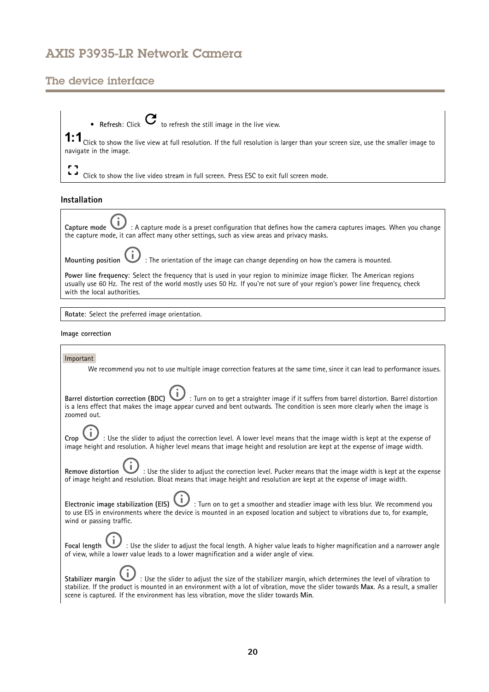## The device interface

• Refresh: Click  $\mathbf C$ to refresh the still image in the live view. 1:1 Click to show the live view at full resolution. If the full resolution is larger than your screen size, use the smaller image to navigate in the image.

 $\blacksquare$ Click to show the live video stream in full screen. Press ESC to exit full screen mode.

### **Installation**

**Capture mode** : A capture mode is <sup>a</sup> preset configuration that defines how the camera captures images. When you change the capture mode, it can affect many other settings, such as view areas and privacy masks.

**Mounting position** : The orientation of the image can change depending on how the camera is mounted.

**Power line frequency**: Select the frequency that is used in your region to minimize image flicker. The American regions usually use 60 Hz. The rest of the world mostly uses 50 Hz. If you're not sure of your region's power line frequency, check with the local authorities.

**Rotate**: Select the preferred image orientation.

**Image correction**

### Important

We recommend you not to use multiple image correction features at the same time, since it can lead to performance issues.

**Barrel distortion correction (BDC)** : Turn on to get <sup>a</sup> straighter image if it suffers from barrel distortion. Barrel distortion is <sup>a</sup> lens effect that makes the image appear curved and bent outwards. The condition is seen more clearly when the image is zoomed out.

**Crop** : Use the slider to adjust the correction level. A lower level means that the image width is kept at the expense of image height and resolution. A higher level means that image height and resolution are kept at the expense of image width.

**Remove distortion** : Use the slider to adjust the correction level. Pucker means that the image width is kept at the expense of image height and resolution. Bloat means that image height and resolution are kept at the expense of image width.

**Electronic image stabilization (EIS)** : Turn on to get <sup>a</sup> smoother and steadier image with less blur. We recommend you to use EIS in environments where the device is mounted in an exposed location and subject to vibrations due to, for example, wind or passing traffic.

**Focal length** : Use the slider to adjust the focal length. A higher value leads to higher magnification and a narrower angle of view, while <sup>a</sup> lower value leads to <sup>a</sup> lower magnification and <sup>a</sup> wider angle of view.

**Stabilizer margin**  $\cup$  : Use the slider to adjust the size of the stabilizer margin, which determines the level of vibration to stabilize. If the product is mounted in an environment with <sup>a</sup> lot of vibration, move the slider towards **Max**. As <sup>a</sup> result, <sup>a</sup> smaller scene is captured. If the environment has less vibration, move the slider towards **Min**.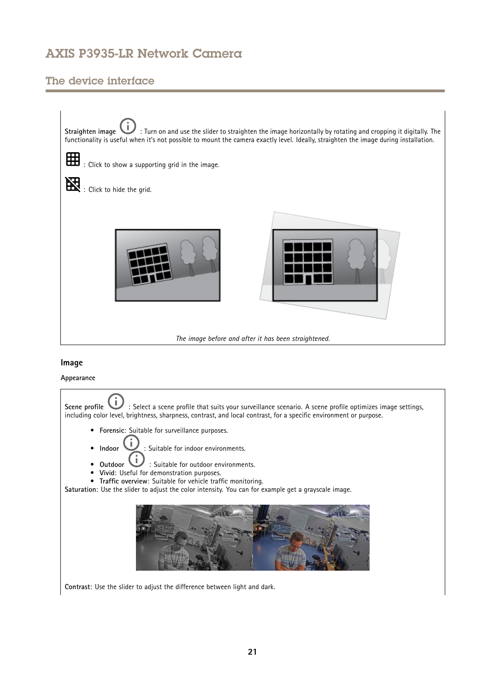## The device interface

**Straighten image** : Turn on and use the slider to straighten the image horizontally by rotating and cropping it digitally. The functionality is useful when it's not possible to mount the camera exactly level. Ideally, straighten the image during installation. 曲 : Click to show <sup>a</sup> supporting grid in the image. 凶 : Click to hide the grid. *The image before and after it has been straightened.*

### **Image**

**Appearance**

**Scene** profile **U**: Select a scene profile that suits your surveillance scenario. A scene profile optimizes image settings, including color level, brightness, sharpness, contrast, and local contrast, for <sup>a</sup> specific environment or purpose. • **Forensic**: Suitable for surveillance purposes. •**Indoor** : Suitable for indoor environments. •**Outdoor U** : Suitable for outdoor environments. • **Vivid**: Useful for demonstration purposes. • **Traffic overview**: Suitable for vehicle traffic monitoring. **Saturation**: Use the slider to adjust the color intensity. You can for example get <sup>a</sup> grayscale image.

**Contrast**: Use the slider to adjust the difference between light and dark.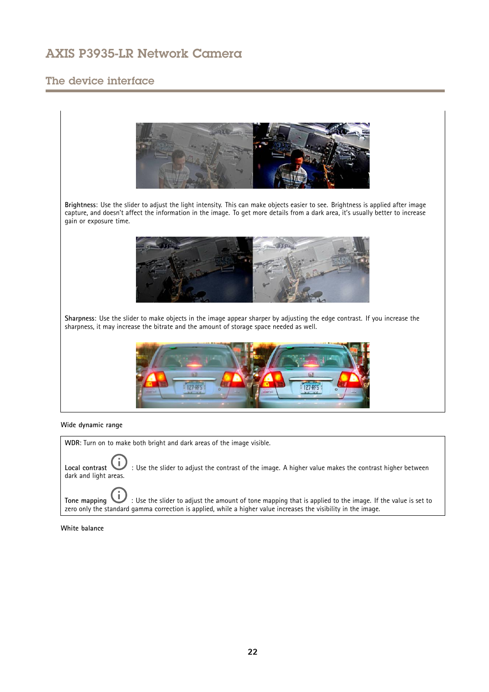## The device interface



**WDR**: Turn on to make both bright and dark areas of the image visible. Local contrast **U**: Use the slider to adjust the contrast of the image. A higher value makes the contrast higher between dark and light areas. **Tone mapping** U: Use the slider to adjust the amount of tone mapping that is applied to the image. If the value is set to zero only the standard gamma correction is applied, while <sup>a</sup> higher value increases the visibility in the image.

**White balance**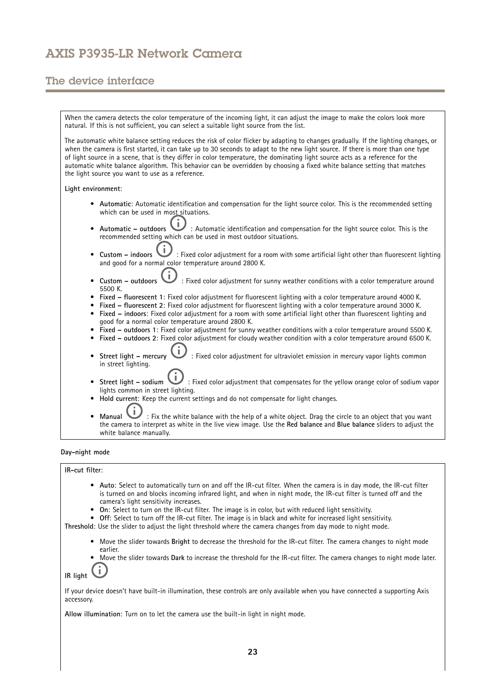## The device interface

When the camera detects the color temperature of the incoming light, it can adjust the image to make the colors look more natural. If this is not sufficient, you can select <sup>a</sup> suitable light source from the list.

The automatic white balance setting reduces the risk of color flicker by adapting to changes gradually. If the lighting changes, or when the camera is first started, it can take up to 30 seconds to adapt to the new light source. If there is more than one type of light source in <sup>a</sup> scene, that is they differ in color temperature, the dominating light source acts as <sup>a</sup> reference for the automatic white balance algorithm. This behavior can be overridden by choosing <sup>a</sup> fixed white balance setting that matches the light source you want to use as <sup>a</sup> reference.

#### **Light environment**:

- **Automatic**: Automatic identification and compensation for the light source color. This is the recommended setting which can be used in most situations.
- • **Automatic – outdoors** : Automatic identification and compensation for the light source color. This is the recommended setting which can be used in most outdoor situations.
- • **Custom – indoors** : Fixed color adjustment for <sup>a</sup> room with some artificial light other than fluorescent lighting and good for <sup>a</sup> normal color temperature around 2800 K.
- • **Custom – outdoors** : Fixed color adjustment for sunny weather conditions with <sup>a</sup> color temperature around 5500 K.
- •**Fixed – fluorescent <sup>1</sup>**: Fixed color adjustment for fluorescent lighting with <sup>a</sup> color temperature around 4000 K.
- •**Fixed – fluorescent 2**: Fixed color adjustment for fluorescent lighting with <sup>a</sup> color temperature around 3000 K.
- • **Fixed – indoors**: Fixed color adjustment for <sup>a</sup> room with some artificial light other than fluorescent lighting and good for <sup>a</sup> normal color temperature around 2800 K.
- •**Fixed – outdoors <sup>1</sup>**: Fixed color adjustment for sunny weather conditions with <sup>a</sup> color temperature around 5500 K.
- **Fixed – outdoors 2**: Fixed color adjustment for cloudy weather condition with <sup>a</sup> color temperature around 6500 K.
- • **Street light – mercury** : Fixed color adjustment for ultraviolet emission in mercury vapor lights common in street lighting.
- • **Street light – sodium** : Fixed color adjustment that compensates for the yellow orange color of sodium vapor lights common in street lighting.
- •**Hold current**: Keep the current settings and do not compensate for light changes.
- • **Manual** : Fix the white balance with the help of <sup>a</sup> white object. Drag the circle to an object that you want the camera to interpret as white in the live view image. Use the **Red balance** and **Blue balance** sliders to adjust the white balance manually.

#### **Day-night mode**

#### **IR-cut filter**:

- **Auto**: Select to automatically turn on and off the IR-cut filter. When the camera is in day mode, the IR-cut filter is turned on and blocks incoming infrared light, and when in night mode, the IR-cut filter is turned off and the camera's light sensitivity increases.
- •**On**: Select to turn on the IR-cut filter. The image is in color, but with reduced light sensitivity.
- **Off**: Select to turn off the IR-cut filter. The image is in black and white for increased light sensitivity.
- **Threshold**: Use the slider to adjust the light threshold where the camera changes from day mode to night mode.
	- • Move the slider towards **Bright** to decrease the threshold for the IR-cut filter. The camera changes to night mode earlier.
	- •Move the slider towards **Dark** to increase the threshold for the IR-cut filter. The camera changes to night mode later.

î **IR light**

If your device doesn't have built-in illumination, these controls are only available when you have connected <sup>a</sup> supporting Axis accessory.

**Allow illumination**: Turn on to let the camera use the built-in light in night mode.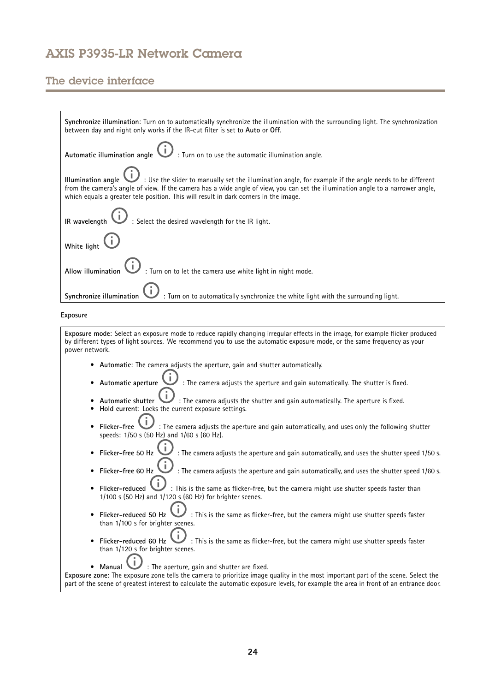## The device interface

| Synchronize illumination: Turn on to automatically synchronize the illumination with the surrounding light. The synchronization<br>between day and night only works if the IR-cut filter is set to Auto or Off.                                                                                                                                                  |  |  |  |
|------------------------------------------------------------------------------------------------------------------------------------------------------------------------------------------------------------------------------------------------------------------------------------------------------------------------------------------------------------------|--|--|--|
| Automatic illumination angle $\bigodot$ : Turn on to use the automatic illumination angle.                                                                                                                                                                                                                                                                       |  |  |  |
| Illumination angle $\bigcup$ : Use the slider to manually set the illumination angle, for example if the angle needs to be different<br>from the camera's angle of view. If the camera has a wide angle of view, you can set the illumination angle to a narrower angle,<br>which equals a greater tele position. This will result in dark corners in the image. |  |  |  |
| IR wavelength $\bigcirc$ : Select the desired wavelength for the IR light.                                                                                                                                                                                                                                                                                       |  |  |  |
| White light (i)                                                                                                                                                                                                                                                                                                                                                  |  |  |  |
| Allow illumination $\bigodot$ : Turn on to let the camera use white light in night mode.                                                                                                                                                                                                                                                                         |  |  |  |
| Synchronize illumination $\bigodot$ : Turn on to automatically synchronize the white light with the surrounding light.                                                                                                                                                                                                                                           |  |  |  |

#### **Exposure**

**Exposure mode**: Select an exposure mode to reduce rapidly changing irregular effects in the image, for example flicker produced by different types of light sources. We recommend you to use the automatic exposure mode, or the same frequency as your power network.

- •**Automatic**: The camera adjusts the aperture, gain and shutter automatically.
- •**Automatic aperture** : The camera adjusts the aperture and gain automatically. The shutter is fixed.
- •**Automatic shutter** : The camera adjusts the shutter and gain automatically. The aperture is fixed.
- •**Hold current**: Locks the current exposure settings.
- •**Flicker-free**  $\Box$  : The camera adjusts the aperture and gain automatically, and uses only the following shutter speeds: 1/50 <sup>s</sup> (50 Hz) and 1/60 <sup>s</sup> (60 Hz).
- •**Flicker-free <sup>50</sup> Hz** : The camera adjusts the aperture and gain automatically, and uses the shutter speed 1/50 s.
- •**Flicker-free <sup>60</sup> Hz** : The camera adjusts the aperture and gain automatically, and uses the shutter speed 1/60 s.
- •**Flicker-reduced** : This is the same as flicker-free, but the camera might use shutter speeds faster than 1/100 <sup>s</sup> (50 Hz) and 1/120 <sup>s</sup> (60 Hz) for brighter scenes.
- •**Fluice**: This is the same as flicker-free, but the camera might use shutter speeds faster Flicker-reduced 50 Hz  $\mathbf{U}$  :<br>than 1/100 s for brighter scenes.
- • **Flicker-reduced 60 Hz** : This is the same as flicker-free, but the camera might use shutter speeds faster than 1/120 <sup>s</sup> for brighter scenes.
- Manual **M**: The aperture, gain and shutter are fixed.

**Exposure zone**: The exposure zone tells the camera to prioritize image quality in the most important part of the scene. Select the part of the scene of greatest interest to calculate the automatic exposure levels, for example the area in front of an entrance door.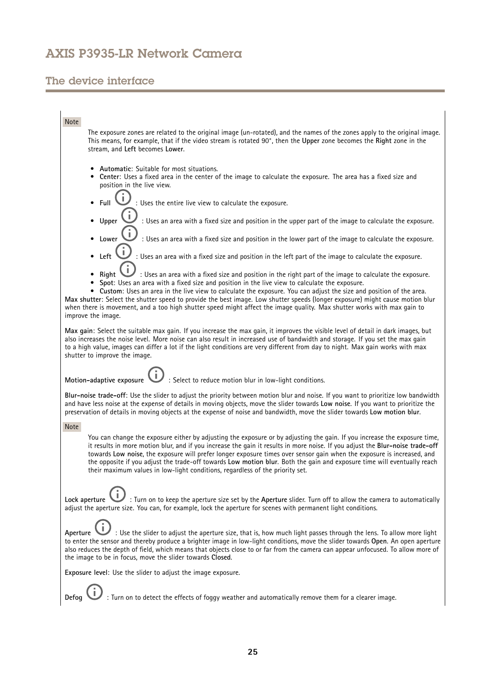## The device interface

### Note

The exposure zones are related to the original image (un-rotated), and the names of the zones apply to the original image. This means, for example, that if the video stream is rotated 90°, then the **Upper** zone becomes the **Right** zone in the stream, and **Left** becomes **Lower**.

- •**Automatic**: Suitable for most situations.
- • **Center**: Uses <sup>a</sup> fixed area in the center of the image to calculate the exposure. The area has <sup>a</sup> fixed size and position in the live view.
- •Full **U** : Uses the entire live view to calculate the exposure.
- Upper **UP** : Uses an area with a fixed size and position in the upper part of the image to calculate the exposure. •Î
- Lower **UP** : Uses an area with a fixed size and position in the lower part of the image to calculate the exposure. •î
- •Left  $\bullet$ : Uses an area with a fixed size and position in the left part of the image to calculate the exposure.
- •Right  $\bigcup$ : Uses an area with a fixed size and position in the right part of the image to calculate the exposure.
- •**Spot**: Uses an area with <sup>a</sup> fixed size and position in the live view to calculate the exposure.

• **Custom**: Uses an area in the live view to calculate the exposure. You can adjust the size and position of the area. **Max shutter**: Select the shutter speed to provide the best image. Low shutter speeds (longer exposure) might cause motion blur when there is movement, and <sup>a</sup> too high shutter speed might affect the image quality. Max shutter works with max gain to improve the image.

**Max gain**: Select the suitable max gain. If you increase the max gain, it improves the visible level of detail in dark images, but also increases the noise level. More noise can also result in increased use of bandwidth and storage. If you set the max gain to <sup>a</sup> high value, images can differ <sup>a</sup> lot if the light conditions are very different from day to night. Max gain works with max shutter to improve the image.

**Motion-adaptive exposure**  $\bullet$ **:** Select to reduce motion blur in low-light conditions.

**Blur-noise trade-off**: Use the slider to adjust the priority between motion blur and noise. If you want to prioritize low bandwidth and have less noise at the expense of details in moving objects, move the slider towards **Low noise**. If you want to prioritize the preservation of details in moving objects at the expense of noise and bandwidth, move the slider towards **Low motion blur**.

#### Note

You can change the exposure either by adjusting the exposure or by adjusting the gain. If you increase the exposure time, it results in more motion blur, and if you increase the gain it results in more noise. If you adjust the **Blur-noise trade-off** towards **Low noise**, the exposure will prefer longer exposure times over sensor gain when the exposure is increased, and the opposite if you adjust the trade-off towards **Low motion blur**. Both the gain and exposure time will eventually reach their maximum values in low-light conditions, regardless of the priority set.

**Lock aperture** : Turn on to keep the aperture size set by the **Aperture** slider. Turn off to allow the camera to automatically adjust the aperture size. You can, for example, lock the aperture for scenes with permanent light conditions.

Aperture **U**: Use the slider to adjust the aperture size, that is, how much light passes through the lens. To allow more light to enter the sensor and thereby produce <sup>a</sup> brighter image in low-light conditions, move the slider towards **Open**. An open aperture also reduces the depth of field, which means that objects close to or far from the camera can appear unfocused. To allow more of the image to be in focus, move the slider towards **Closed**.

**Exposure level**: Use the slider to adjust the image exposure.

**Defog** : Turn on to detect the effects of foggy weather and automatically remove them for <sup>a</sup> clearer image.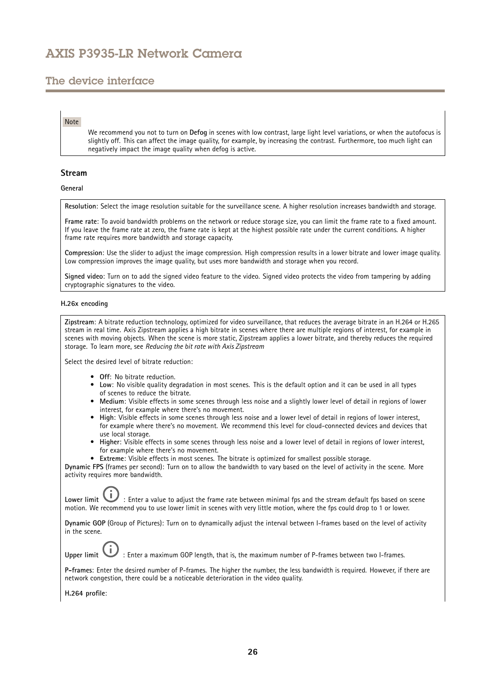## The device interface

#### Note

We recommend you not to turn on **Defog** in scenes with low contrast, large light level variations, or when the autofocus is slightly off. This can affect the image quality, for example, by increasing the contrast. Furthermore, too much light can negatively impact the image quality when defog is active.

### **Stream**

**General**

**Resolution**: Select the image resolution suitable for the surveillance scene. A higher resolution increases bandwidth and storage.

**Frame rate**: To avoid bandwidth problems on the network or reduce storage size, you can limit the frame rate to <sup>a</sup> fixed amount. If you leave the frame rate at zero, the frame rate is kept at the highest possible rate under the current conditions. A higher frame rate requires more bandwidth and storage capacity.

**Compression**: Use the slider to adjust the image compression. High compression results in <sup>a</sup> lower bitrate and lower image quality. Low compression improves the image quality, but uses more bandwidth and storage when you record.

**Signed video**: Turn on to add the signed video feature to the video. Signed video protects the video from tampering by adding cryptographic signatures to the video.

#### **H.26x encoding**

**Zipstream**: A bitrate reduction technology, optimized for video surveillance, that reduces the average bitrate in an H.264 or H.265 stream in real time. Axis Zipstream applies <sup>a</sup> high bitrate in scenes where there are multiple regions of interest, for example in scenes with moving objects. When the scene is more static, Zipstream applies <sup>a</sup> lower bitrate, and thereby reduces the required storage. To learn more, see *Reducing the bit rate with Axis [Zipstream](https://www.axis.com/learning/web-articles/reducing-the-bit-rate-with-axis-zipstream)*

Select the desired level of bitrate reduction:

- **Off**: No bitrate reduction.
- **Low**: No visible quality degradation in most scenes. This is the default option and it can be used in all types of scenes to reduce the bitrate.
- • **Medium**: Visible effects in some scenes through less noise and <sup>a</sup> slightly lower level of detail in regions of lower interest, for example where there's no movement.
- **High**: Visible effects in some scenes through less noise and <sup>a</sup> lower level of detail in regions of lower interest, for example where there's no movement. We recommend this level for cloud-connected devices and devices that use local storage.
- • **Higher**: Visible effects in some scenes through less noise and <sup>a</sup> lower level of detail in regions of lower interest, for example where there's no movement.
- **Extreme**: Visible effects in most scenes. The bitrate is optimized for smallest possible storage.

**Dynamic FPS** (frames per second): Turn on to allow the bandwidth to vary based on the level of activity in the scene. More activity requires more bandwidth.

Lower limit **the state is a value to adjust the frame rate between minimal fps and the stream default fps based on scene** motion. We recommend you to use lower limit in scenes with very little motion, where the fps could drop to <sup>1</sup> or lower.

**Dynamic GOP** (Group of Pictures): Turn on to dynamically adjust the interval between I-frames based on the level of activity in the scene.

Upper limit **UP**: Enter a maximum GOP length, that is, the maximum number of P-frames between two I-frames.

**P-frames**: Enter the desired number of P-frames. The higher the number, the less bandwidth is required. However, if there are network congestion, there could be <sup>a</sup> noticeable deterioration in the video quality.

**H.264 profile**: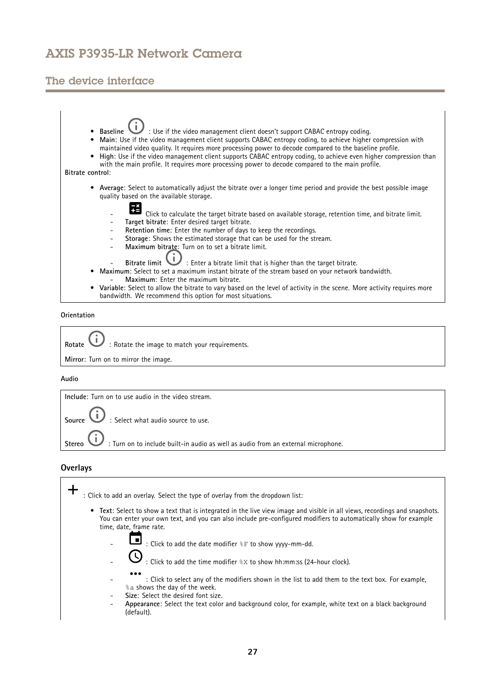## The device interface



**Orientation**

Rotate **W** : Rotate the image to match your requirements. **Mirror**: Turn on to mirror the image.

#### **Audio**



### **Overlays**

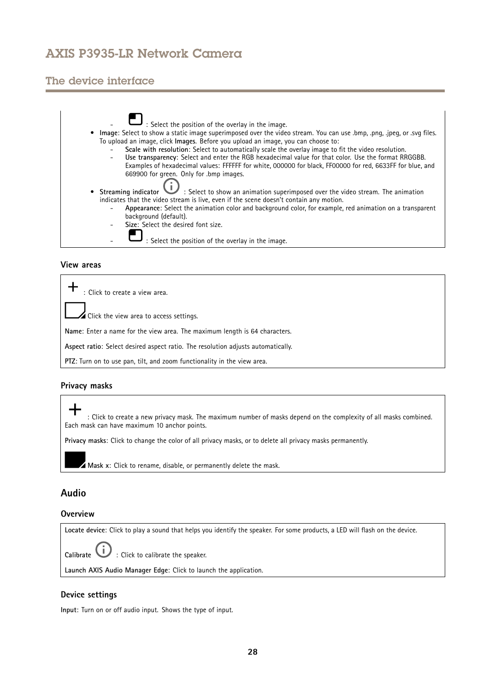## <span id="page-27-0"></span>The device interface



### **View areas**

: Click to create <sup>a</sup> view area.

Click the view area to access settings.

**Name**: Enter <sup>a</sup> name for the view area. The maximum length is 64 characters.

**Aspect ratio**: Select desired aspect ratio. The resolution adjusts automatically.

**PTZ**: Turn on to use pan, tilt, and zoom functionality in the view area.

### **Privacy masks**

: Click to create <sup>a</sup> new privacy mask. The maximum number of masks depend on the complexity of all masks combined. Each mask can have maximum 10 anchor points.

**Privacy masks**: Click to change the color of all privacy masks, or to delete all privacy masks permanently.

**Mask <sup>x</sup>**: Click to rename, disable, or permanently delete the mask.

### **Audio**

### **Overview**

**Locate device**: Click to play <sup>a</sup> sound that helps you identify the speaker. For some products, <sup>a</sup> LED will flash on the device.

**Calibrate U** : Click to calibrate the speaker.

**Launch AXIS Audio Manager Edge**: Click to launch the application.

### **Device settings**

**Input**: Turn on or off audio input. Shows the type of input.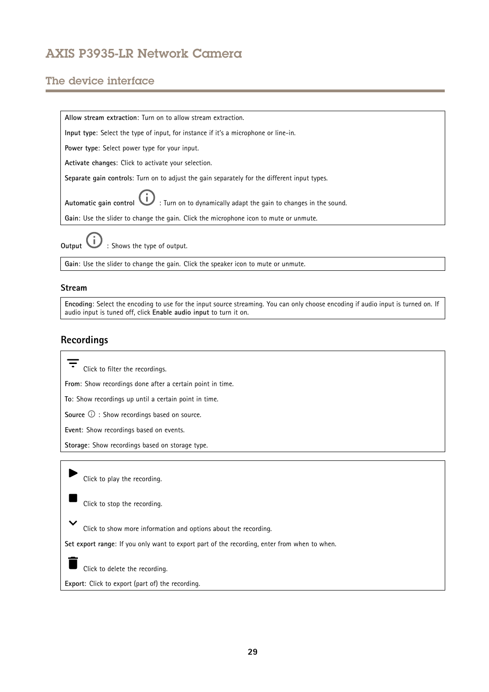## <span id="page-28-0"></span>The device interface



**Gain**: Use the slider to change the gain. Click the speaker icon to mute or unmute.

#### **Stream**

**Encoding**: Select the encoding to use for the input source streaming. You can only choose encoding if audio input is turned on. If audio input is tuned off, click **Enable audio input** to turn it on.

## **Recordings**

Click to filter the recordings.

**From**: Show recordings done after <sup>a</sup> certain point in time.

**To**: Show recordings up until <sup>a</sup> certain point in time.

Source  $\overline{\mathbb{O}}$  : Show recordings based on source.

**Event**: Show recordings based on events.

**Storage**: Show recordings based on storage type.

Click to play the recording.

Click to stop the recording.

Click to show more information and options about the recording.

**Set export range**: If you only want to export part of the recording, enter from when to when.

Click to delete the recording.

**Export**: Click to export (part of) the recording.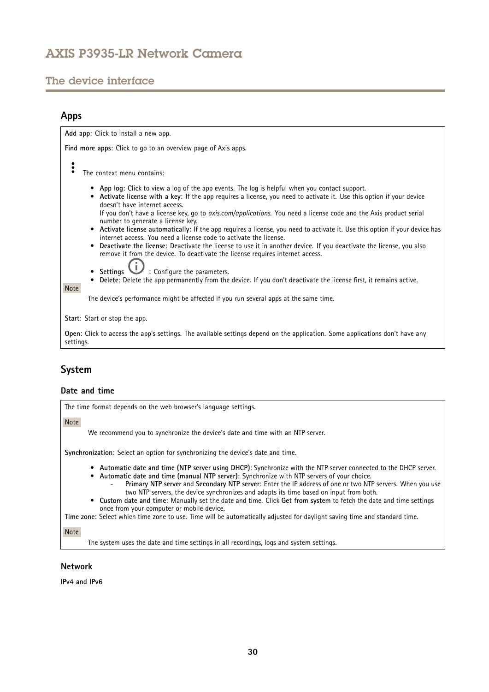## <span id="page-29-0"></span>The device interface

### **Apps**

**Find more apps**: Click to go to an overview page of Axis apps.

The context menu contains:

**Add app**: Click to install <sup>a</sup> new app.

- **App log**: Click to view <sup>a</sup> log of the app events. The log is helpful when you contact support.
- • **Activate license with <sup>a</sup> key**: If the app requires <sup>a</sup> license, you need to activate it. Use this option if your device doesn't have internet access.
- If you don't have <sup>a</sup> license key, go to *[axis.com/applications](https://www.axis.com/applications)*. You need <sup>a</sup> license code and the Axis product serial number to generate <sup>a</sup> license key.
- • **Activate license automatically**: If the app requires <sup>a</sup> license, you need to activate it. Use this option if your device has internet access. You need a license code to activate the license.
- • **Deactivate the license**: Deactivate the license to use it in another device. If you deactivate the license, you also remove it from the device. To deactivate the license requires internet access.
	- **Settings** : Configure the parameters.
- •**Delete**: Delete the app permanently from the device. If you don't deactivate the license first, it remains active.

Note

•

The device's performance might be affected if you run several apps at the same time.

**Start**: Start or stop the app.

**Open**: Click to access the app's settings. The available settings depend on the application. Some applications don't have any settings.

## **System**

### **Date and time**

•

The time format depends on the web browser's language settings.

Note

We recommend you to synchronize the device's date and time with an NTP server.

**Synchronization**: Select an option for synchronizing the device's date and time.

- **Automatic date and time (NTP server using DHCP)**: Synchronize with the NTP server connected to the DHCP server.
	- **Automatic date and time (manual NTP server)**: Synchronize with NTP servers of your choice.
		- **Primary NTP server** and **Secondary NTP server**: Enter the IP address of one or two NTP servers. When you use two NTP servers, the device synchronizes and adapts its time based on input from both.
- **Custom date and time**: Manually set the date and time. Click **Get from system** to fetch the date and time settings once from your computer or mobile device.
- **Time zone**: Select which time zone to use. Time will be automatically adjusted for daylight saving time and standard time.

Note

The system uses the date and time settings in all recordings, logs and system settings.

### **Network**

**IPv4 and IPv6**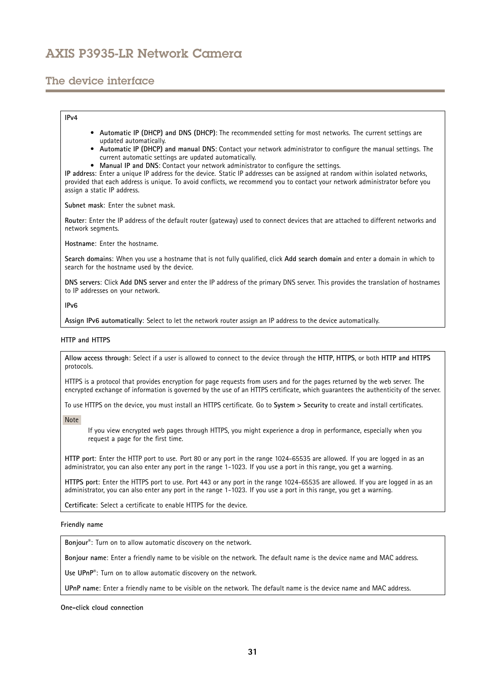## The device interface

#### **IPv4**

- **Automatic IP (DHCP) and DNS (DHCP)**: The recommended setting for most networks. The current settings are updated automatically.
- **Automatic IP (DHCP) and manual DNS**: Contact your network administrator to configure the manual settings. The current automatic settings are updated automatically.
- **Manual IP and DNS**: Contact your network administrator to configure the settings.

**IP address**: Enter <sup>a</sup> unique IP address for the device. Static IP addresses can be assigned at random within isolated networks, provided that each address is unique. To avoid conflicts, we recommend you to contact your network administrator before you assign <sup>a</sup> static IP address.

**Subnet mask**: Enter the subnet mask.

**Router**: Enter the IP address of the default router (gateway) used to connect devices that are attached to different networks and network segments.

**Hostname**: Enter the hostname.

**Search domains**: When you use <sup>a</sup> hostname that is not fully qualified, click **Add search domain** and enter <sup>a</sup> domain in which to search for the hostname used by the device.

**DNS servers**: Click **Add DNS server** and enter the IP address of the primary DNS server. This provides the translation of hostnames to IP addresses on your network.

**IPv6**

**Assign IPv6 automatically**: Select to let the network router assign an IP address to the device automatically.

#### **HTTP and HTTPS**

**Allow access through**: Select if <sup>a</sup> user is allowed to connect to the device through the **HTTP**, **HTTPS**, or both **HTTP and HTTPS** protocols.

HTTPS is <sup>a</sup> protocol that provides encryption for page requests from users and for the pages returned by the web server. The encrypted exchange of information is governed by the use of an HTTPS certificate, which guarantees the authenticity of the server.

To use HTTPS on the device, you must install an HTTPS certificate. Go to **System <sup>&</sup>gt; Security** to create and install certificates.

Note

If you view encrypted web pages through HTTPS, you might experience <sup>a</sup> drop in performance, especially when you request <sup>a</sup> page for the first time.

**HTTP port**: Enter the HTTP port to use. Port 80 or any port in the range 1024-65535 are allowed. If you are logged in as an administrator, you can also enter any port in the range 1-1023. If you use <sup>a</sup> port in this range, you get <sup>a</sup> warning.

**HTTPS port**: Enter the HTTPS port to use. Port 443 or any port in the range 1024-65535 are allowed. If you are logged in as an administrator, you can also enter any port in the range 1-1023. If you use <sup>a</sup> port in this range, you get <sup>a</sup> warning.

**Certificate**: Select <sup>a</sup> certificate to enable HTTPS for the device.

#### **Friendly name**

**Bonjour**® : Turn on to allow automatic discovery on the network.

**Bonjour name**: Enter <sup>a</sup> friendly name to be visible on the network. The default name is the device name and MAC address.

**Use UPnP**® : Turn on to allow automatic discovery on the network.

**UPnP name**: Enter <sup>a</sup> friendly name to be visible on the network. The default name is the device name and MAC address.

**One-click cloud connection**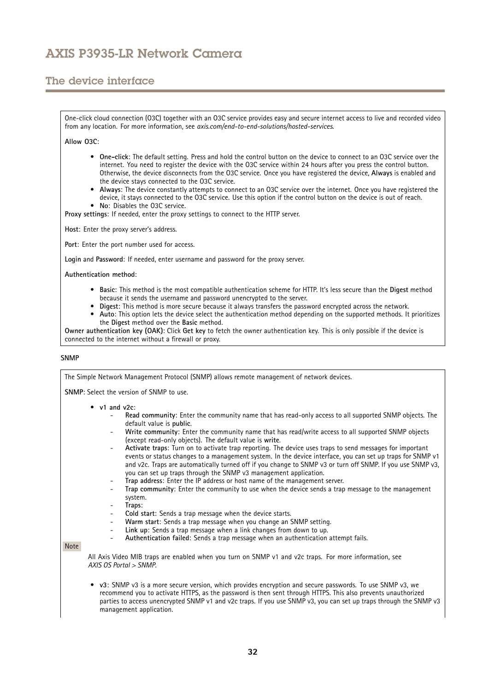## The device interface

One-click cloud connection (O3C) together with an O3C service provides easy and secure internet access to live and recorded video from any location. For more information, see *[axis.com/end-to-end-solutions/hosted-services](https://www.axis.com/end-to-end-solutions/hosted-services)*.

**Allow O3C**:

- **One-click**: The default setting. Press and hold the control button on the device to connect to an O3C service over the internet. You need to register the device with the O3C service within 24 hours after you press the control button. Otherwise, the device disconnects from the O3C service. Once you have registered the device, **Always** is enabled and the device stays connected to the O3C service.
- • **Always**: The device constantly attempts to connect to an O3C service over the internet. Once you have registered the device, it stays connected to the O3C service. Use this option if the control button on the device is out of reach. •**No**: Disables the O3C service.
- **Proxy settings**: If needed, enter the proxy settings to connect to the HTTP server.

**Host**: Enter the proxy server's address.

**Port**: Enter the port number used for access.

**Login** and **Password**: If needed, enter username and password for the proxy server.

**Authentication method**:

- **Basic**: This method is the most compatible authentication scheme for HTTP. It's less secure than the **Digest** method because it sends the username and password unencrypted to the server.
- •**Digest**: This method is more secure because it always transfers the password encrypted across the network.
- • **Auto**: This option lets the device select the authentication method depending on the supported methods. It prioritizes the **Digest** method over the **Basic** method.

**Owner authentication key (OAK)**: Click **Get key** to fetch the owner authentication key. This is only possible if the device is connected to the internet without <sup>a</sup> firewall or proxy.

#### **SNMP**

The Simple Network Management Protocol (SNMP) allows remote management of network devices.

**SNMP**: Select the version of SNMP to use.

- **v1 and v2c**:
	- **Read community**: Enter the community name that has read-only access to all supported SNMP objects. The default value is **public**.
	- **Write community**: Enter the community name that has read/write access to all supported SNMP objects (except read-only objects). The default value is **write**.
	- **Activate traps**: Turn on to activate trap reporting. The device uses traps to send messages for important events or status changes to <sup>a</sup> management system. In the device interface, you can set up traps for SNMP v1 and v2c. Traps are automatically turned off if you change to SNMP v3 or turn off SNMP. If you use SNMP v3, you can set up traps through the SNMP v3 management application.
	- **Trap address**: Enter the IP address or host name of the management server.
	- **Trap community**: Enter the community to use when the device sends <sup>a</sup> trap message to the management system.
	- **Traps**:
	- **Cold start**: Sends <sup>a</sup> trap message when the device starts.
	- **Warm start**: Sends <sup>a</sup> trap message when you change an SNMP setting.
	- **Link up**: Sends <sup>a</sup> trap message when <sup>a</sup> link changes from down to up.
	- **Authentication failed**: Sends <sup>a</sup> trap message when an authentication attempt fails.

#### Note

All Axis Video MIB traps are enabled when you turn on SNMP v1 and v2c traps. For more information, see *AXIS OS Portal <sup>&</sup>gt; [SNMP](https://www.axis.com/products/online-manual/00000#t10163561)*.

• **v3**: SNMP v3 is <sup>a</sup> more secure version, which provides encryption and secure passwords. To use SNMP v3, we recommend you to activate HTTPS, as the password is then sent through HTTPS. This also prevents unauthorized parties to access unencrypted SNMP v1 and v2c traps. If you use SNMP v3, you can set up traps through the SNMP v3 management application.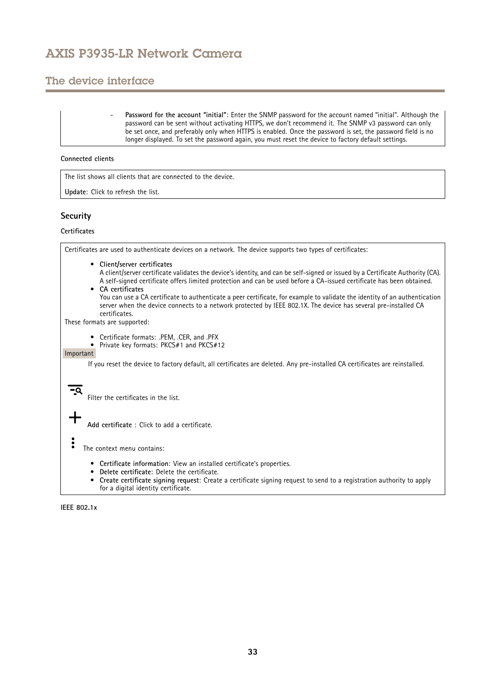## The device interface

 **Password for the account "initial"**: Enter the SNMP password for the account named "initial". Although the password can be sent without activating HTTPS, we don't recommend it. The SNMP v3 password can only be set once, and preferably only when HTTPS is enabled. Once the password is set, the password field is no longer displayed. To set the password again, you must reset the device to factory default settings.

#### **Connected clients**

The list shows all clients that are connected to the device.

**Update**: Click to refresh the list.

### **Security**

#### **Certificates**

Certificates are used to authenticate devices on <sup>a</sup> network. The device supports two types of certificates: • **Client/server certificates** A client/server certificate validates the device's identity, and can be self-signed or issued by <sup>a</sup> Certificate Authority (CA). A self-signed certificate offers limited protection and can be used before <sup>a</sup> CA-issued certificate has been obtained. • **CA certificates** You can use <sup>a</sup> CA certificate to authenticate <sup>a</sup> peer certificate, for example to validate the identity of an authentication

server when the device connects to <sup>a</sup> network protected by IEEE 802.1X. The device has several pre-installed CA certificates.

These formats are supported:

• Certificate formats: .PEM, .CER, and .PFX

•Private key formats: PKCS#1 and PKCS#12

#### Important

 $\overline{\mathsf{PQ}}$ 

If you reset the device to factory default, all certificates are deleted. Any pre-installed CA certificates are reinstalled.

Filter the certificates in the list.

**Add certificate** : Click to add <sup>a</sup> certificate.

The context menu contains:

- **Certificate information**: View an installed certificate's properties.
- **Delete certificate**: Delete the certificate.
- • **Create certificate signing request**: Create <sup>a</sup> certificate signing request to send to <sup>a</sup> registration authority to apply for <sup>a</sup> digital identity certificate.

**IEEE 802.1x**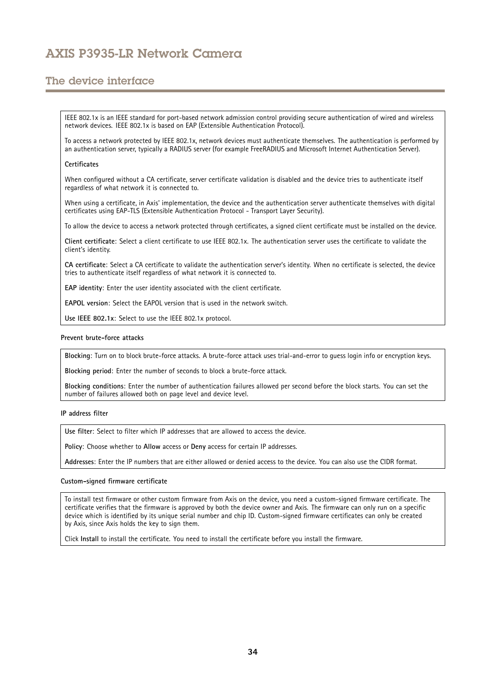## The device interface

IEEE 802.1x is an IEEE standard for port-based network admission control providing secure authentication of wired and wireless network devices. IEEE 802.1x is based on EAP (Extensible Authentication Protocol).

To access <sup>a</sup> network protected by IEEE 802.1x, network devices must authenticate themselves. The authentication is performed by an authentication server, typically <sup>a</sup> RADIUS server (for example FreeRADIUS and Microsoft Internet Authentication Server).

#### **Certificates**

When configured without <sup>a</sup> CA certificate, server certificate validation is disabled and the device tries to authenticate itself regardless of what network it is connected to.

When using <sup>a</sup> certificate, in Axis' implementation, the device and the authentication server authenticate themselves with digital certificates using EAP-TLS (Extensible Authentication Protocol - Transport Layer Security).

To allow the device to access <sup>a</sup> network protected through certificates, <sup>a</sup> signed client certificate must be installed on the device.

**Client certificate**: Select <sup>a</sup> client certificate to use IEEE 802.1x. The authentication server uses the certificate to validate the client's identity.

**CA certificate**: Select <sup>a</sup> CA certificate to validate the authentication server's identity. When no certificate is selected, the device tries to authenticate itself regardless of what network it is connected to.

**EAP identity**: Enter the user identity associated with the client certificate.

**EAPOL version**: Select the EAPOL version that is used in the network switch.

**Use IEEE 802.1x**: Select to use the IEEE 802.1x protocol.

#### **Prevent brute-force attacks**

**Blocking**: Turn on to block brute-force attacks. A brute-force attack uses trial-and-error to guess login info or encryption keys.

**Blocking period**: Enter the number of seconds to block <sup>a</sup> brute-force attack.

**Blocking conditions**: Enter the number of authentication failures allowed per second before the block starts. You can set the number of failures allowed both on page level and device level.

#### **IP address filter**

**Use filter**: Select to filter which IP addresses that are allowed to access the device.

**Policy**: Choose whether to **Allow** access or **Deny** access for certain IP addresses.

**Addresses**: Enter the IP numbers that are either allowed or denied access to the device. You can also use the CIDR format.

#### **Custom-signed firmware certificate**

To install test firmware or other custom firmware from Axis on the device, you need <sup>a</sup> custom-signed firmware certificate. The certificate verifies that the firmware is approved by both the device owner and Axis. The firmware can only run on <sup>a</sup> specific device which is identified by its unique serial number and chip ID. Custom-signed firmware certificates can only be created by Axis, since Axis holds the key to sign them.

Click **Install** to install the certificate. You need to install the certificate before you install the firmware.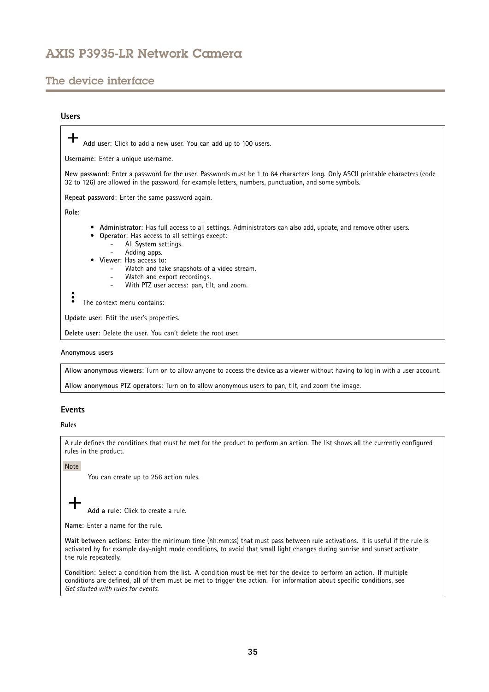## The device interface

#### **Users**

**Add user**: Click to add <sup>a</sup> new user. You can add up to 100 users. **Username**: Enter <sup>a</sup> unique username. **New password**: Enter <sup>a</sup> password for the user. Passwords must be <sup>1</sup> to <sup>64</sup> characters long. Only ASCII printable characters (code <sup>32</sup> to 126) are allowed in the password, for example letters, numbers, punctuation, and some symbols. **Repeat password**: Enter the same password again. **Role**: • **Administrator**: Has full access to all settings. Administrators can also add, update, and remove other users. • **Operator**: Has access to all settings except: All **System** settings. Adding apps. • **Viewer**: Has access to: Watch and take snapshots of <sup>a</sup> video stream. Watch and export recordings. With PTZ user access: pan, tilt, and zoom. The context menu contains: **Update user**: Edit the user's properties. **Delete user**: Delete the user. You can't delete the root user.

#### **Anonymous users**

**Allow anonymous viewers**: Turn on to allow anyone to access the device as <sup>a</sup> viewer without having to log in with <sup>a</sup> user account.

**Allow anonymous PTZ operators**: Turn on to allow anonymous users to pan, tilt, and zoom the image.

### **Events**

#### **Rules**

A rule defines the conditions that must be met for the product to perform an action. The list shows all the currently configured rules in the product.

Note

You can create up to 256 action rules.

**Add <sup>a</sup> rule**: Click to create <sup>a</sup> rule.

**Name**: Enter a name for the rule.

**Wait between actions**: Enter the minimum time (hh:mm:ss) that must pass between rule activations. It is useful if the rule is activated by for example day-night mode conditions, to avoid that small light changes during sunrise and sunset activate the rule repeatedly.

**Condition**: Select <sup>a</sup> condition from the list. A condition must be met for the device to perform an action. If multiple conditions are defined, all of them must be met to trigger the action. For information about specific conditions, see *Get [started](https://help.axis.com/get-started-with-rules-for-events#conditions) with rules for events*.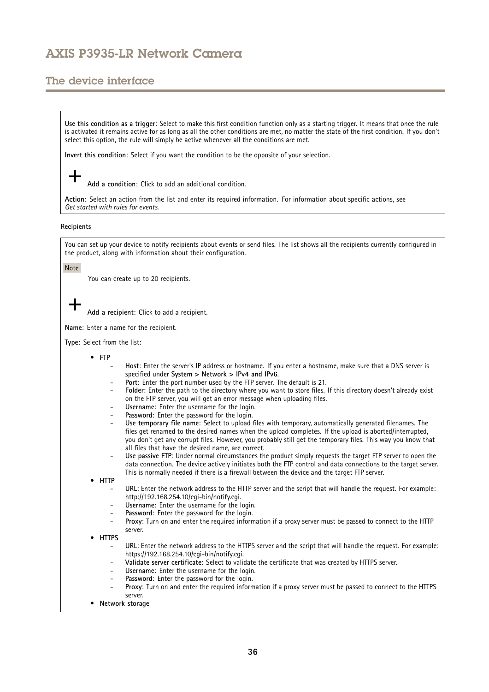## The device interface

**Use this condition as <sup>a</sup> trigger**: Select to make this first condition function only as <sup>a</sup> starting trigger. It means that once the rule is activated it remains active for as long as all the other conditions are met, no matter the state of the first condition. If you don't select this option, the rule will simply be active whenever all the conditions are met.

**Invert this condition**: Select if you want the condition to be the opposite of your selection.

**Add <sup>a</sup> condition**: Click to add an additional condition.

**Action**: Select an action from the list and enter its required information. For information about specific actions, see *Get [started](https://help.axis.com/get-started-with-rules-for-events#actions) with rules for events*.

#### **Recipients**

You can set up your device to notify recipients about events or send files. The list shows all the recipients currently configured in the product, along with information about their configuration.

#### **Note**

You can create up to 20 recipients.

**Add <sup>a</sup> recipient**: Click to add <sup>a</sup> recipient.

**Name**: Enter <sup>a</sup> name for the recipient.

**Type**: Select from the list:

- **FTP**
	- **Host**: Enter the server's IP address or hostname. If you enter <sup>a</sup> hostname, make sure that <sup>a</sup> DNS server is specified under **System <sup>&</sup>gt; Network <sup>&</sup>gt; IPv4 and IPv6**.
	- **Port**: Enter the port number used by the FTP server. The default is 21.
	- **Folder**: Enter the path to the directory where you want to store files. If this directory doesn't already exist on the FTP server, you will get an error message when uploading files.
	- **Username**: Enter the username for the login.
	- **Password**: Enter the password for the login.
	- **Use temporary file name**: Select to upload files with temporary, automatically generated filenames. The files get renamed to the desired names when the upload completes. If the upload is aborted/interrupted, you don't get any corrupt files. However, you probably still get the temporary files. This way you know that all files that have the desired name, are correct.
	- **Use passive FTP**: Under normal circumstances the product simply requests the target FTP server to open the data connection. The device actively initiates both the FTP control and data connections to the target server. This is normally needed if there is <sup>a</sup> firewall between the device and the target FTP server.

•**HTTP**

- **URL**: Enter the network address to the HTTP server and the script that will handle the request. For example: http://192.168.254.10/cgi-bin/notify.cgi.
- **Username**: Enter the username for the login.
- **Password**: Enter the password for the login.
- **Proxy**: Turn on and enter the required information if <sup>a</sup> proxy server must be passed to connect to the HTTP server.
- • **HTTPS**
	- **URL**: Enter the network address to the HTTPS server and the script that will handle the request. For example: https://192.168.254.10/cgi-bin/notify.cgi.
	- **Validate server certificate**: Select to validate the certificate that was created by HTTPS server.
	- **Username**: Enter the username for the login.
	- **Password**: Enter the password for the login.
	- **Proxy**: Turn on and enter the required information if <sup>a</sup> proxy server must be passed to connect to the HTTPS server.
- •**Network storage**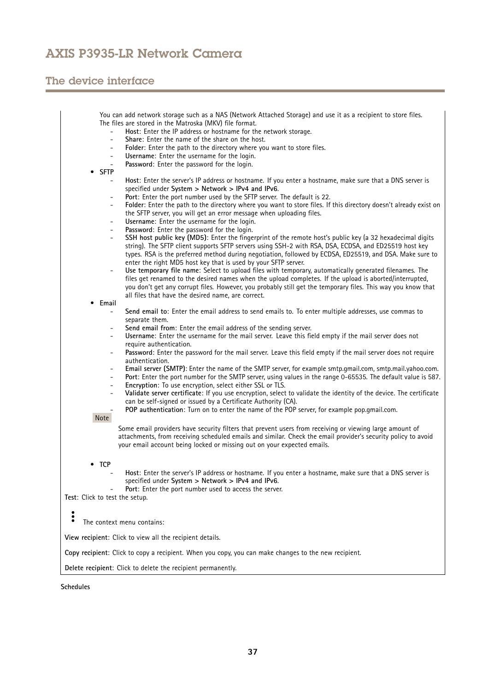## The device interface

|                                    | You can add network storage such as a NAS (Network Attached Storage) and use it as a recipient to store files.              |
|------------------------------------|-----------------------------------------------------------------------------------------------------------------------------|
|                                    | The files are stored in the Matroska (MKV) file format.                                                                     |
|                                    | Host: Enter the IP address or hostname for the network storage.                                                             |
| $\sim$<br>$\overline{\phantom{a}}$ | Share: Enter the name of the share on the host.<br>Folder: Enter the path to the directory where you want to store files.   |
| $\overline{\phantom{a}}$           | Username: Enter the username for the login.                                                                                 |
| $\overline{\phantom{a}}$           | Password: Enter the password for the login.                                                                                 |
| SFTP                               |                                                                                                                             |
| $\overline{\phantom{a}}$           | Host: Enter the server's IP address or hostname. If you enter a hostname, make sure that a DNS server is                    |
|                                    | specified under System > Network > IPv4 and IPv6.                                                                           |
| $\overline{\phantom{a}}$           | Port: Enter the port number used by the SFTP server. The default is 22.                                                     |
| $\blacksquare$                     | Folder: Enter the path to the directory where you want to store files. If this directory doesn't already exist on           |
| $\overline{\phantom{a}}$           | the SFTP server, you will get an error message when uploading files.<br>Username: Enter the username for the login.         |
| $\overline{\phantom{a}}$           | Password: Enter the password for the login.                                                                                 |
| $\overline{\phantom{a}}$           | SSH host public key (MD5): Enter the fingerprint of the remote host's public key (a 32 hexadecimal digits                   |
|                                    | string). The SFTP client supports SFTP servers using SSH-2 with RSA, DSA, ECDSA, and ED25519 host key                       |
|                                    | types. RSA is the preferred method during negotiation, followed by ECDSA, ED25519, and DSA. Make sure to                    |
|                                    | enter the right MD5 host key that is used by your SFTP server.                                                              |
| $\overline{\phantom{a}}$           | Use temporary file name: Select to upload files with temporary, automatically generated filenames. The                      |
|                                    | files get renamed to the desired names when the upload completes. If the upload is aborted/interrupted,                     |
|                                    | you don't get any corrupt files. However, you probably still get the temporary files. This way you know that                |
| Email                              | all files that have the desired name, are correct.                                                                          |
| $\sim$                             | Send email to: Enter the email address to send emails to. To enter multiple addresses, use commas to                        |
|                                    | separate them.                                                                                                              |
| $-$                                | Send email from: Enter the email address of the sending server.                                                             |
| $\sim$                             | Username: Enter the username for the mail server. Leave this field empty if the mail server does not                        |
|                                    | require authentication.                                                                                                     |
| $\overline{\phantom{a}}$           | Password: Enter the password for the mail server. Leave this field empty if the mail server does not require                |
| $\overline{\phantom{a}}$           | authentication.<br>Email server (SMTP): Enter the name of the SMTP server, for example smtp.gmail.com, smtp.mail.yahoo.com. |
| $\overline{\phantom{a}}$           | Port: Enter the port number for the SMTP server, using values in the range 0-65535. The default value is 587.               |
| $\overline{\phantom{a}}$           | Encryption: To use encryption, select either SSL or TLS.                                                                    |
|                                    | Validate server certificate: If you use encryption, select to validate the identity of the device. The certificate          |
|                                    | can be self-signed or issued by a Certificate Authority (CA).                                                               |
|                                    | POP authentication: Turn on to enter the name of the POP server, for example pop.gmail.com.                                 |
| Note                               |                                                                                                                             |
|                                    | Some email providers have security filters that prevent users from receiving or viewing large amount of                     |
|                                    | attachments, from receiving scheduled emails and similar. Check the email provider's security policy to avoid               |
|                                    | your email account being locked or missing out on your expected emails.                                                     |
|                                    |                                                                                                                             |
| $\bullet$ TCP                      | Host: Enter the server's IP address or hostname. If you enter a hostname, make sure that a DNS server is                    |
|                                    | specified under System > Network > IPv4 and IPv6.                                                                           |
|                                    | Port: Enter the port number used to access the server.                                                                      |
| Test: Click to test the setup.     |                                                                                                                             |
|                                    |                                                                                                                             |
|                                    |                                                                                                                             |
|                                    | The context menu contains:                                                                                                  |
|                                    | View recipient: Click to view all the recipient details.                                                                    |
|                                    | Copy recipient: Click to copy a recipient. When you copy, you can make changes to the new recipient.                        |
|                                    | Delete recipient: Click to delete the recipient permanently.                                                                |
|                                    |                                                                                                                             |

**Schedules**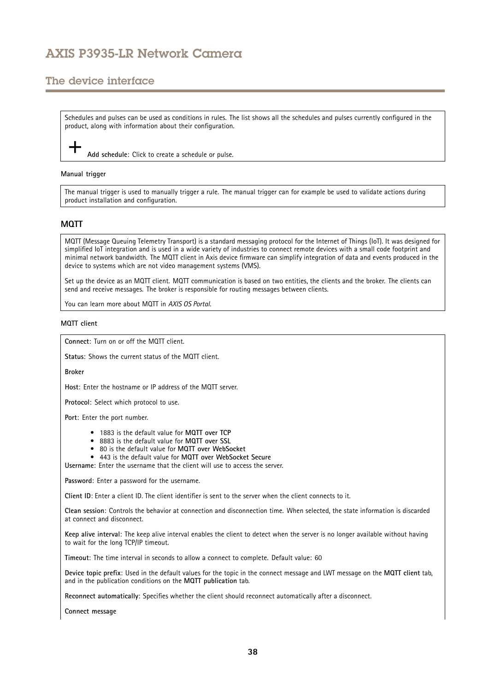## The device interface

Schedules and pulses can be used as conditions in rules. The list shows all the schedules and pulses currently configured in the product, along with information about their configuration.

**Add schedule**: Click to create <sup>a</sup> schedule or pulse.

#### **Manual trigger**

The manual trigger is used to manually trigger <sup>a</sup> rule. The manual trigger can for example be used to validate actions during product installation and configuration.

#### **MQTT**

MQTT (Message Queuing Telemetry Transport) is <sup>a</sup> standard messaging protocol for the Internet of Things (IoT). It was designed for simplified IoT integration and is used in <sup>a</sup> wide variety of industries to connect remote devices with <sup>a</sup> small code footprint and minimal network bandwidth. The MQTT client in Axis device firmware can simplify integration of data and events produced in the device to systems which are not video management systems (VMS).

Set up the device as an MQTT client. MQTT communication is based on two entities, the clients and the broker. The clients can send and receive messages. The broker is responsible for routing messages between clients.

You can learn more about MQTT in *AXIS OS [Portal](https://help.axis.com/axis-os#mqtt)*.

#### **MQTT client**

**Connect**: Turn on or off the MQTT client.

**Status**: Shows the current status of the MQTT client.

**Broker**

**Host**: Enter the hostname or IP address of the MQTT server.

**Protocol**: Select which protocol to use.

**Port**: Enter the port number.

- 1883 is the default value for **MQTT over TCP**
- 8883 is the default value for **MQTT over SSL**
- 80 is the default value for **MQTT over WebSocket**
- 443 is the default value for **MQTT over WebSocket Secure**

**Username**: Enter the username that the client will use to access the server.

**Password**: Enter <sup>a</sup> password for the username.

**Client ID**: Enter <sup>a</sup> client ID. The client identifier is sent to the server when the client connects to it.

**Clean session**: Controls the behavior at connection and disconnection time. When selected, the state information is discarded at connect and disconnect.

**Keep alive interval**: The keep alive interval enables the client to detect when the server is no longer available without having to wait for the long TCP/IP timeout.

**Timeout**: The time interval in seconds to allow <sup>a</sup> connect to complete. Default value: 60

**Device topic prefix**: Used in the default values for the topic in the connect message and LWT message on the **MQTT client** tab, and in the publication conditions on the **MQTT publication** tab.

**Reconnect automatically**: Specifies whether the client should reconnect automatically after <sup>a</sup> disconnect.

**Connect message**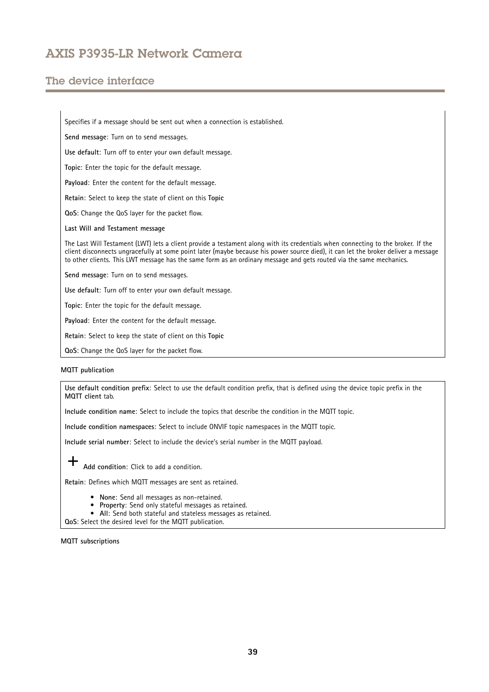## The device interface

Specifies if <sup>a</sup> message should be sent out when <sup>a</sup> connection is established.

**Send message**: Turn on to send messages.

**Use default**: Turn off to enter your own default message.

**Topic**: Enter the topic for the default message.

**Payload**: Enter the content for the default message.

**Retain**: Select to keep the state of client on this **Topic**

**QoS**: Change the QoS layer for the packet flow.

**Last Will and Testament message**

The Last Will Testament (LWT) lets <sup>a</sup> client provide <sup>a</sup> testament along with its credentials when connecting to the broker. If the client disconnects ungracefully at some point later (maybe because his power source died), it can let the broker deliver <sup>a</sup> message to other clients. This LWT message has the same form as an ordinary message and gets routed via the same mechanics.

**Send message**: Turn on to send messages.

**Use default**: Turn off to enter your own default message.

**Topic**: Enter the topic for the default message.

**Payload**: Enter the content for the default message.

**Retain**: Select to keep the state of client on this **Topic**

**QoS**: Change the QoS layer for the packet flow.

#### **MQTT publication**

**Use default condition prefix**: Select to use the default condition prefix, that is defined using the device topic prefix in the **MQTT client** tab.

**Include condition name**: Select to include the topics that describe the condition in the MQTT topic.

**Include condition namespaces**: Select to include ONVIF topic namespaces in the MQTT topic.

**Include serial number**: Select to include the device's serial number in the MQTT payload.

**Add condition**: Click to add <sup>a</sup> condition.

**Retain**: Defines which MQTT messages are sent as retained.

- **None**: Send all messages as non-retained.
- **Property**: Send only stateful messages as retained.
- **All**: Send both stateful and stateless messages as retained.

**QoS**: Select the desired level for the MQTT publication.

**MQTT subscriptions**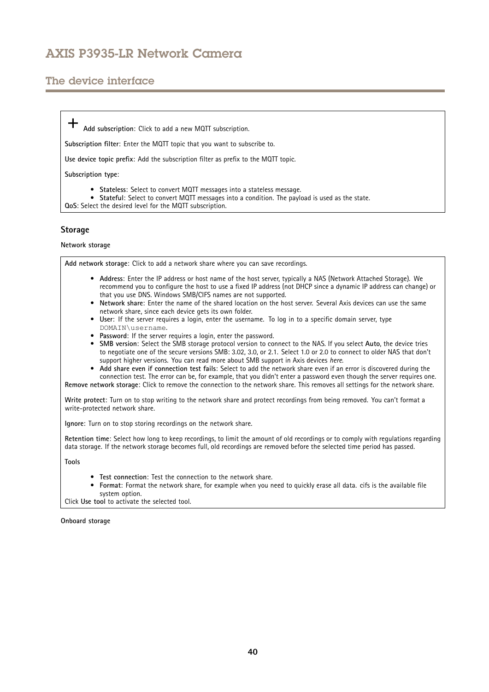## The device interface

**Add subscription**: Click to add <sup>a</sup> new MQTT subscription.

**Subscription filter**: Enter the MQTT topic that you want to subscribe to.

**Use device topic prefix**: Add the subscription filter as prefix to the MQTT topic.

**Subscription type**:

- **Stateless**: Select to convert MQTT messages into <sup>a</sup> stateless message.
- **Stateful**: Select to convert MQTT messages into <sup>a</sup> condition. The payload is used as the state.

**QoS**: Select the desired level for the MQTT subscription.

### **Storage**

**Network storage**

**Add network storage**: Click to add <sup>a</sup> network share where you can save recordings.

- **Address**: Enter the IP address or host name of the host server, typically <sup>a</sup> NAS (Network Attached Storage). We recommend you to configure the host to use <sup>a</sup> fixed IP address (not DHCP since <sup>a</sup> dynamic IP address can change) or that you use DNS. Windows SMB/CIFS names are not supported.
- **Network share**: Enter the name of the shared location on the host server. Several Axis devices can use the same network share, since each device gets its own folder.
- **User**: If the server requires <sup>a</sup> login, enter the username. To log in to <sup>a</sup> specific domain server, type DOMAIN\username.
- **Password**: If the server requires <sup>a</sup> login, enter the password.
- **SMB version**: Select the SMB storage protocol version to connect to the NAS. If you select **Auto**, the device tries to negotiate one of the secure versions SMB: 3.02, 3.0, or 2.1. Select 1.0 or 2.0 to connect to older NAS that don't support higher versions. You can read more about SMB support in Axis devices *[here](https://help.axis.com/axis-os#about-cifssmb-support)*.
- **Add share even if connection test fails**: Select to add the network share even if an error is discovered during the

connection test. The error can be, for example, that you didn't enter <sup>a</sup> password even though the server requires one. **Remove network storage**: Click to remove the connection to the network share. This removes all settings for the network share.

**Write protect**: Turn on to stop writing to the network share and protect recordings from being removed. You can't format <sup>a</sup> write-protected network share.

**Ignore**: Turn on to stop storing recordings on the network share.

**Retention time**: Select how long to keep recordings, to limit the amount of old recordings or to comply with regulations regarding data storage. If the network storage becomes full, old recordings are removed before the selected time period has passed.

**Tools**

- **Test connection**: Test the connection to the network share.
- • **Format**: Format the network share, for example when you need to quickly erase all data. cifs is the available file system option.

Click **Use tool** to activate the selected tool.

**Onboard storage**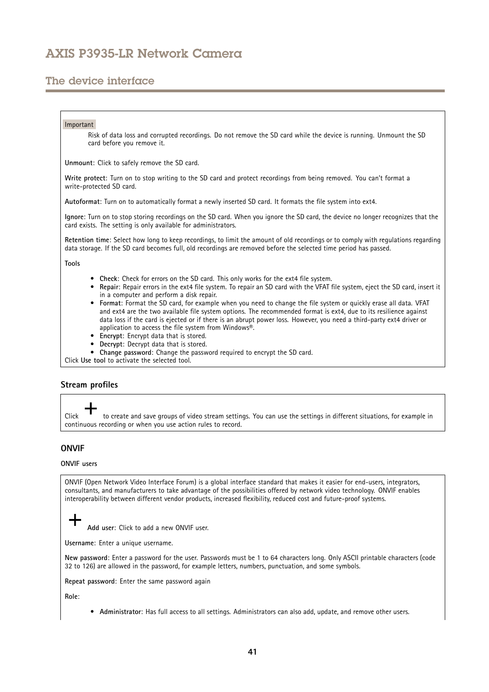## The device interface

#### Important

Risk of data loss and corrupted recordings. Do not remove the SD card while the device is running. Unmount the SD card before you remove it.

**Unmount**: Click to safely remove the SD card.

**Write protect**: Turn on to stop writing to the SD card and protect recordings from being removed. You can't format <sup>a</sup> write-protected SD card.

**Autoformat**: Turn on to automatically format <sup>a</sup> newly inserted SD card. It formats the file system into ext4.

**Ignore**: Turn on to stop storing recordings on the SD card. When you ignore the SD card, the device no longer recognizes that the card exists. The setting is only available for administrators.

**Retention time**: Select how long to keep recordings, to limit the amount of old recordings or to comply with regulations regarding data storage. If the SD card becomes full, old recordings are removed before the selected time period has passed.

**Tools**

- **Check**: Check for errors on the SD card. This only works for the ext4 file system.
- $\bullet$  **Repair**: Repair errors in the ext4 file system. To repair an SD card with the VFAT file system, eject the SD card, insert it in <sup>a</sup> computer and perform <sup>a</sup> disk repair.
- • **Format**: Format the SD card, for example when you need to change the file system or quickly erase all data. VFAT and ext4 are the two available file system options. The recommended format is ext4, due to its resilience against data loss if the card is ejected or if there is an abrupt power loss. However, you need <sup>a</sup> third-party ext4 driver or application to access the file system from Windows®.
- **Encrypt**: Encrypt data that is stored.
- •**Decrypt**: Decrypt data that is stored.
- **Change password**: Change the password required to encrypt the SD card.

Click **Use tool** to activate the selected tool.

### **Stream profiles**

Click to create and save groups of video stream settings. You can use the settings in different situations, for example in continuous recording or when you use action rules to record.

### **ONVIF**

#### **ONVIF users**

ONVIF (Open Network Video Interface Forum) is <sup>a</sup> global interface standard that makes it easier for end-users, integrators, consultants, and manufacturers to take advantage of the possibilities offered by network video technology. ONVIF enables interoperability between different vendor products, increased flexibility, reduced cost and future-proof systems.

**Add user**: Click to add <sup>a</sup> new ONVIF user.

**Username**: Enter <sup>a</sup> unique username.

**New password**: Enter <sup>a</sup> password for the user. Passwords must be <sup>1</sup> to <sup>64</sup> characters long. Only ASCII printable characters (code <sup>32</sup> to 126) are allowed in the password, for example letters, numbers, punctuation, and some symbols.

**Repeat password**: Enter the same password again

**Role**:

• **Administrator**: Has full access to all settings. Administrators can also add, update, and remove other users.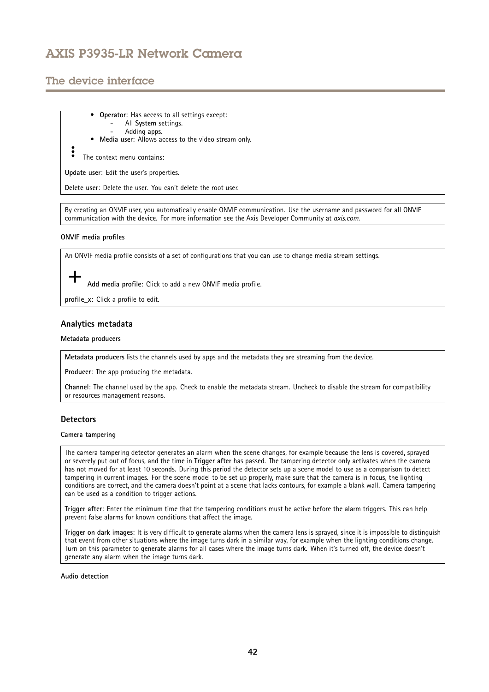## The device interface

- • **Operator**: Has access to all settings except:
	- All **System** settings. Adding apps.
- •**Media user**: Allows access to the video stream only.

The context menu contains:

**Update user**: Edit the user's properties.

**Delete user**: Delete the user. You can't delete the root user.

By creating an ONVIF user, you automatically enable ONVIF communication. Use the username and password for all ONVIF communication with the device. For more information see the Axis Developer Community at *[axis.com](https://www.axis.com/developer-community-intro)*.

#### **ONVIF media profiles**

An ONVIF media profile consists of <sup>a</sup> set of configurations that you can use to change media stream settings.

**Add media profile**: Click to add <sup>a</sup> new ONVIF media profile.

**profile\_x**: Click <sup>a</sup> profile to edit.

### **Analytics metadata**

#### **Metadata producers**

**Metadata producers** lists the channels used by apps and the metadata they are streaming from the device.

**Producer**: The app producing the metadata.

**Channel**: The channel used by the app. Check to enable the metadata stream. Uncheck to disable the stream for compatibility or resources management reasons.

### **Detectors**

#### **Camera tampering**

The camera tampering detector generates an alarm when the scene changes, for example because the lens is covered, sprayed or severely put out of focus, and the time in **Trigger after** has passed. The tampering detector only activates when the camera has not moved for at least 10 seconds. During this period the detector sets up <sup>a</sup> scene model to use as <sup>a</sup> comparison to detect tampering in current images. For the scene model to be set up properly, make sure that the camera is in focus, the lighting conditions are correct, and the camera doesn't point at <sup>a</sup> scene that lacks contours, for example <sup>a</sup> blank wall. Camera tampering can be used as <sup>a</sup> condition to trigger actions.

**Trigger after**: Enter the minimum time that the tampering conditions must be active before the alarm triggers. This can help prevent false alarms for known conditions that affect the image.

**Trigger on dark images**: It is very difficult to generate alarms when the camera lens is sprayed, since it is impossible to distinguish that event from other situations where the image turns dark in <sup>a</sup> similar way, for example when the lighting conditions change. Turn on this parameter to generate alarms for all cases where the image turns dark. When it's turned off, the device doesn't generate any alarm when the image turns dark.

#### **Audio detection**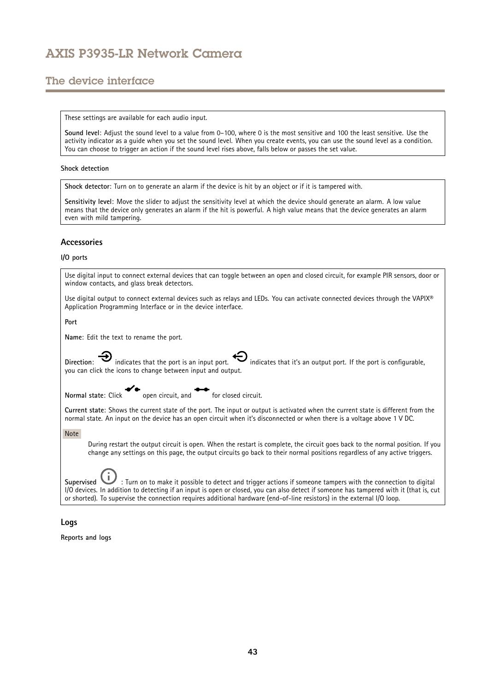## The device interface

These settings are available for each audio input.

**Sound level**: Adjust the sound level to <sup>a</sup> value from 0–100, where 0 is the most sensitive and 100 the least sensitive. Use the activity indicator as <sup>a</sup> guide when you set the sound level. When you create events, you can use the sound level as <sup>a</sup> condition. You can choose to trigger an action if the sound level rises above, falls below or passes the set value.

#### **Shock detection**

**Shock detector**: Turn on to generate an alarm if the device is hit by an object or if it is tampered with.

**Sensitivity level**: Move the slider to adjust the sensitivity level at which the device should generate an alarm. A low value means that the device only generates an alarm if the hit is powerful. A high value means that the device generates an alarm even with mild tampering.

#### **Accessories**

#### **I/O ports**

 $\blacksquare$ 

| Use digital input to connect external devices that can toggle between an open and closed circuit, for example PIR sensors, door or<br>window contacts, and glass break detectors.                                                                                             |
|-------------------------------------------------------------------------------------------------------------------------------------------------------------------------------------------------------------------------------------------------------------------------------|
| Use digital output to connect external devices such as relays and LEDs. You can activate connected devices through the VAPIX®<br>Application Programming Interface or in the device interface.                                                                                |
| Port                                                                                                                                                                                                                                                                          |
| Name: Edit the text to rename the port.                                                                                                                                                                                                                                       |
| Direction: $\bigoplus$ indicates that the port is an input port. $\bigoplus$ indicates that it's an output port. If the port is configurable,<br>you can click the icons to change between input and output.                                                                  |
| Normal state: Click open circuit, and for closed circuit.                                                                                                                                                                                                                     |
| Current state: Shows the current state of the port. The input or output is activated when the current state is different from the<br>normal state. An input on the device has an open circuit when it's disconnected or when there is a voltage above 1 V DC.                 |
| <b>Note</b><br>During restart the output circuit is open. When the restart is complete, the circuit goes back to the normal position. If you                                                                                                                                  |
| change any settings on this page, the output circuits go back to their normal positions regardless of any active triggers.                                                                                                                                                    |
| Supervised $\bigcirc$ : Turn on to make it possible to detect and trigger actions if someone tampers with the connection to digital<br>I/O devices. In addition to detecting if an input is open or closed, you can also detect if someone has tampered with it (that is, cut |

or shorted). To supervise the connection requires additional hardware (end-of-line resistors) in the external I/O loop.

### **Logs**

**Reports and logs**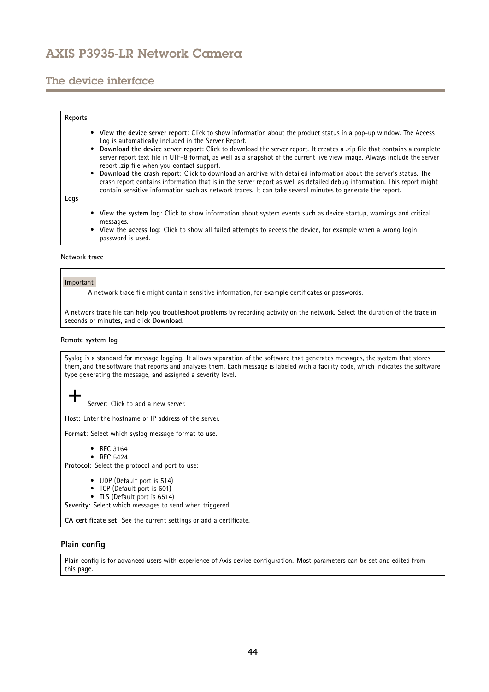## The device interface

| Reports       |                                                                                                                                                                                                                                                                                                                                                                                                                                                                                                                                                                                                                                                                                                                                                                                                                                           |
|---------------|-------------------------------------------------------------------------------------------------------------------------------------------------------------------------------------------------------------------------------------------------------------------------------------------------------------------------------------------------------------------------------------------------------------------------------------------------------------------------------------------------------------------------------------------------------------------------------------------------------------------------------------------------------------------------------------------------------------------------------------------------------------------------------------------------------------------------------------------|
| Logs          | • View the device server report: Click to show information about the product status in a pop-up window. The Access<br>Log is automatically included in the Server Report.<br>Download the device server report: Click to download the server report. It creates a zip file that contains a complete<br>server report text file in UTF-8 format, as well as a snapshot of the current live view image. Always include the server<br>report .zip file when you contact support.<br>Download the crash report: Click to download an archive with detailed information about the server's status. The<br>crash report contains information that is in the server report as well as detailed debug information. This report might<br>contain sensitive information such as network traces. It can take several minutes to generate the report. |
|               | • View the system log: Click to show information about system events such as device startup, warnings and critical<br>messages.<br>• View the access log: Click to show all failed attempts to access the device, for example when a wrong login<br>password is used.                                                                                                                                                                                                                                                                                                                                                                                                                                                                                                                                                                     |
| Network trace |                                                                                                                                                                                                                                                                                                                                                                                                                                                                                                                                                                                                                                                                                                                                                                                                                                           |
| Important     | A network trace file might contain sensitive information, for example certificates or passwords.                                                                                                                                                                                                                                                                                                                                                                                                                                                                                                                                                                                                                                                                                                                                          |

A network trace file can help you troubleshoot problems by recording activity on the network. Select the duration of the trace in seconds or minutes, and click **Download**.

#### **Remote system log**

┿

Syslog is <sup>a</sup> standard for message logging. It allows separation of the software that generates messages, the system that stores them, and the software that reports and analyzes them. Each message is labeled with <sup>a</sup> facility code, which indicates the software type generating the message, and assigned <sup>a</sup> severity level.

**Server**: Click to add <sup>a</sup> new server.

**Host**: Enter the hostname or IP address of the server.

**Format**: Select which syslog message format to use.

- RFC 3164
- RFC 5424

**Protocol**: Select the protocol and port to use:

- UDP (Default port is 514)
- TCP (Default port is 601)
- TLS (Default port is 6514)

**Severity**: Select which messages to send when triggered.

**CA certificate set**: See the current settings or add <sup>a</sup> certificate.

#### **Plain config**

Plain config is for advanced users with experience of Axis device configuration. Most parameters can be set and edited from this page.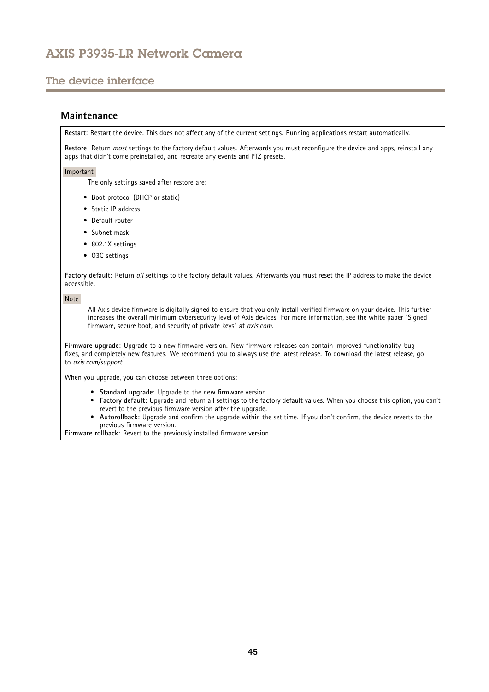## <span id="page-44-0"></span>The device interface

### **Maintenance**

**Restart**: Restart the device. This does not affect any of the current settings. Running applications restart automatically.

**Restore**: Return *most* settings to the factory default values. Afterwards you must reconfigure the device and apps, reinstall any apps that didn't come preinstalled, and recreate any events and PTZ presets.

### Important

The only settings saved after restore are:

- Boot protocol (DHCP or static)
- Static IP address
- Default router
- Subnet mask
- 802.1X settings
- O3C settings

**Factory default**: Return *all* settings to the factory default values. Afterwards you must reset the IP address to make the device accessible.

Note

All Axis device firmware is digitally signed to ensure that you only install verified firmware on your device. This further increases the overall minimum cybersecurity level of Axis devices. For more information, see the white paper "Signed firmware, secure boot, and security of private keys" at *[axis.com](https://www.axis.com/learning/white-papers)*.

**Firmware upgrade**: Upgrade to <sup>a</sup> new firmware version. New firmware releases can contain improved functionality, bug fixes, and completely new features. We recommend you to always use the latest release. To download the latest release, go to *[axis.com/support](https://www.axis.com/support/firmware)*.

When you upgrade, you can choose between three options:

- **Standard upgrade**: Upgrade to the new firmware version.
- • **Factory default**: Upgrade and return all settings to the factory default values. When you choose this option, you can't revert to the previous firmware version after the upgrade.
- • **Autorollback**: Upgrade and confirm the upgrade within the set time. If you don't confirm, the device reverts to the previous firmware version.

**Firmware rollback**: Revert to the previously installed firmware version.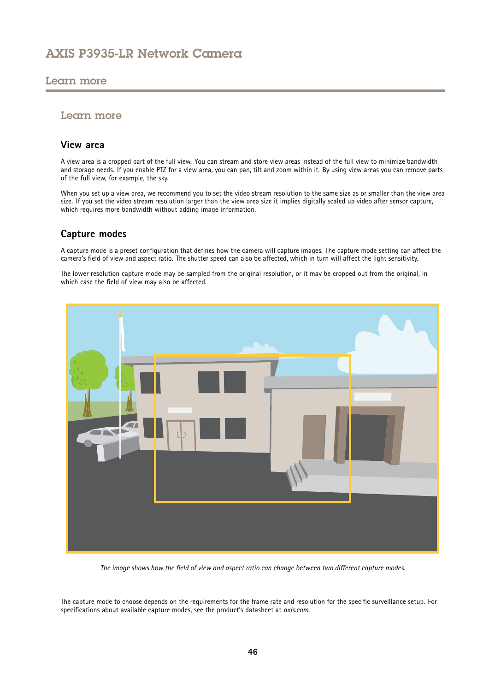### <span id="page-45-0"></span>Learn more

### Learn more

### **View area**

A view area is <sup>a</sup> cropped part of the full view. You can stream and store view areas instead of the full view to minimize bandwidth and storage needs. If you enable PTZ for <sup>a</sup> view area, you can pan, tilt and zoom within it. By using view areas you can remove parts of the full view, for example, the sky.

When you set up <sup>a</sup> view area, we recommend you to set the video stream resolution to the same size as or smaller than the view area size. If you set the video stream resolution larger than the view area size it implies digitally scaled up video after sensor capture, which requires more bandwidth without adding image information.

## **Capture modes**

A capture mode is <sup>a</sup> preset configuration that defines how the camera will capture images. The capture mode setting can affect the camera's field of view and aspect ratio. The shutter speed can also be affected, which in turn will affect the light sensitivity.

The lower resolution capture mode may be sampled from the original resolution, or it may be cropped out from the original, in which case the field of view may also be affected.



The image shows how the field of view and aspect ratio can change between two different capture modes.

The capture mode to choose depends on the requirements for the frame rate and resolution for the specific surveillance setup. For specifications about available capture modes, see the product's datasheet at *[axis.com](https://www.axis.com)*.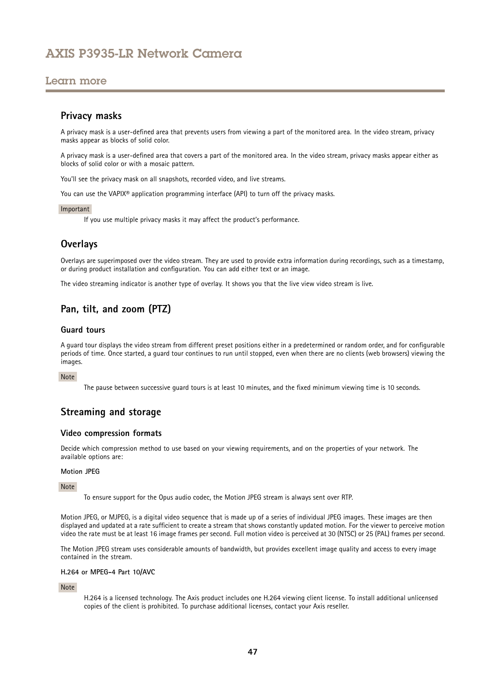### <span id="page-46-0"></span>Learn more

### **Privacy masks**

A privacy mask is <sup>a</sup> user-defined area that prevents users from viewing <sup>a</sup> part of the monitored area. In the video stream, privacy masks appear as blocks of solid color.

A privacy mask is <sup>a</sup> user-defined area that covers <sup>a</sup> part of the monitored area. In the video stream, privacy masks appear either as blocks of solid color or with <sup>a</sup> mosaic pattern.

You'll see the privacy mask on all snapshots, recorded video, and live streams.

You can use the VAPIX® application programming interface (API) to turn off the privacy masks.

#### Important

If you use multiple privacy masks it may affect the product's performance.

### **Overlays**

Overlays are superimposed over the video stream. They are used to provide extra information during recordings, such as <sup>a</sup> timestamp, or during product installation and configuration. You can add either text or an image.

The video streaming indicator is another type of overlay. It shows you that the live view video stream is live.

### **Pan, tilt, and zoom (PTZ)**

### **Guard tours**

A guard tour displays the video stream from different preset positions either in <sup>a</sup> predetermined or random order, and for configurable periods of time. Once started, <sup>a</sup> guard tour continues to run until stopped, even when there are no clients (web browsers) viewing the images.

#### Note

The pause between successive guard tours is at least 10 minutes, and the fixed minimum viewing time is 10 seconds.

### **Streaming and storage**

#### **Video compression formats**

Decide which compression method to use based on your viewing requirements, and on the properties of your network. The available options are:

#### **Motion JPEG**

#### Note

To ensure support for the Opus audio codec, the Motion JPEG stream is always sent over RTP.

Motion JPEG, or MJPEG, is <sup>a</sup> digital video sequence that is made up of <sup>a</sup> series of individual JPEG images. These images are then displayed and updated at <sup>a</sup> rate sufficient to create <sup>a</sup> stream that shows constantly updated motion. For the viewer to perceive motion video the rate must be at least <sup>16</sup> image frames per second. Full motion video is perceived at <sup>30</sup> (NTSC) or <sup>25</sup> (PAL) frames per second.

The Motion JPEG stream uses considerable amounts of bandwidth, but provides excellent image quality and access to every image contained in the stream.

### **H.264 or MPEG-4 Part 10/AVC**

Note

H.264 is <sup>a</sup> licensed technology. The Axis product includes one H.264 viewing client license. To install additional unlicensed copies of the client is prohibited. To purchase additional licenses, contact your Axis reseller.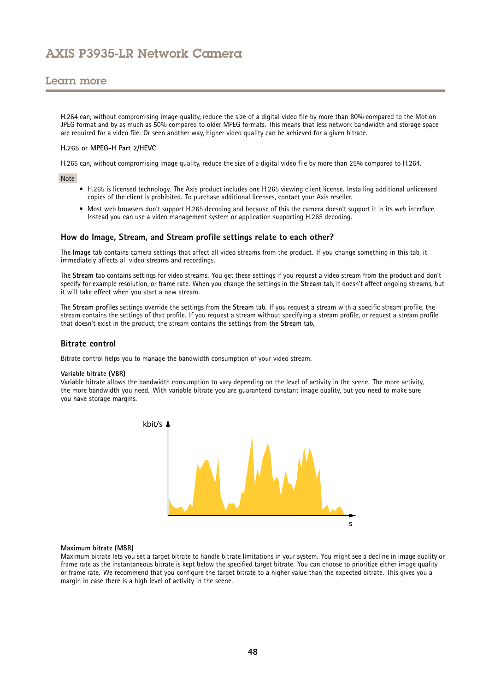### Learn more

H.264 can, without compromising image quality, reduce the size of <sup>a</sup> digital video file by more than 80% compared to the Motion JPEG format and by as much as 50% compared to older MPEG formats. This means that less network bandwidth and storage space are required for <sup>a</sup> video file. Or seen another way, higher video quality can be achieved for <sup>a</sup> given bitrate.

#### **H.265 or MPEG-H Part 2/HEVC**

H.265 can, without compromising image quality, reduce the size of <sup>a</sup> digital video file by more than 25% compared to H.264.

#### Note

- H.265 is licensed technology. The Axis product includes one H.265 viewing client license. Installing additional unlicensed copies of the client is prohibited. To purchase additional licenses, contact your Axis reseller.
- Most web browsers don't support H.265 decoding and because of this the camera doesn't support it in its web interface. Instead you can use <sup>a</sup> video management system or application supporting H.265 decoding.

#### **How do Image, Stream, and Stream profile settings relate to each other?**

The **Image** tab contains camera settings that affect all video streams from the product. If you change something in this tab, it immediately affects all video streams and recordings.

The **Stream** tab contains settings for video streams. You get these settings if you request <sup>a</sup> video stream from the product and don't specify for example resolution, or frame rate. When you change the settings in the **Stream** tab, it doesn't affect ongoing streams, but it will take effect when you start <sup>a</sup> new stream.

The **Stream profiles** settings override the settings from the **Stream** tab. If you request <sup>a</sup> stream with <sup>a</sup> specific stream profile, the stream contains the settings of that profile. If you request <sup>a</sup> stream without specifying <sup>a</sup> stream profile, or request <sup>a</sup> stream profile that doesn't exist in the product, the stream contains the settings from the **Stream** tab.

### **Bitrate control**

Bitrate control helps you to manage the bandwidth consumption of your video stream.

#### **Variable bitrate (VBR)**

Variable bitrate allows the bandwidth consumption to vary depending on the level of activity in the scene. The more activity, the more bandwidth you need. With variable bitrate you are guaranteed constant image quality, but you need to make sure you have storage margins.



#### **Maximum bitrate (MBR)**

Maximum bitrate lets you set <sup>a</sup> target bitrate to handle bitrate limitations in your system. You might see <sup>a</sup> decline in image quality or frame rate as the instantaneous bitrate is kept below the specified target bitrate. You can choose to prioritize either image quality or frame rate. We recommend that you configure the target bitrate to <sup>a</sup> higher value than the expected bitrate. This gives you <sup>a</sup> margin in case there is <sup>a</sup> high level of activity in the scene.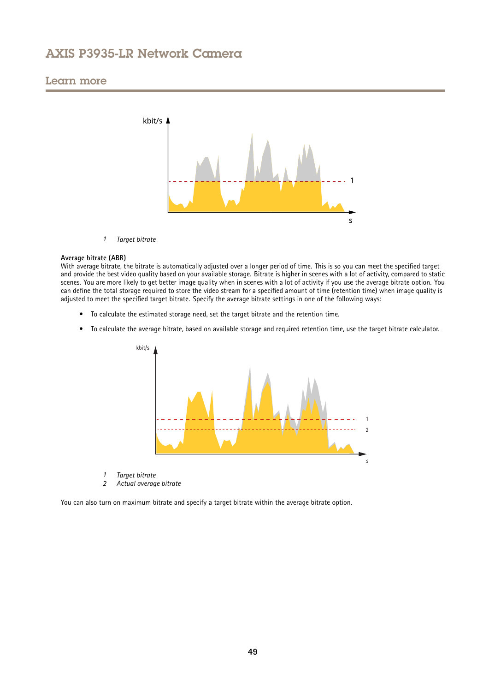### Learn more



*1 Target bitrate*

#### **Average bitrate (ABR)**

With average bitrate, the bitrate is automatically adjusted over <sup>a</sup> longer period of time. This is so you can meet the specified target and provide the best video quality based on your available storage. Bitrate is higher in scenes with <sup>a</sup> lot of activity, compared to static scenes. You are more likely to get better image quality when in scenes with <sup>a</sup> lot of activity if you use the average bitrate option. You can define the total storage required to store the video stream for <sup>a</sup> specified amount of time (retention time) when image quality is adjusted to meet the specified target bitrate. Specify the average bitrate settings in one of the following ways:

- To calculate the estimated storage need, set the target bitrate and the retention time.
- To calculate the average bitrate, based on available storage and required retention time, use the target bitrate calculator.



- *1 Target bitrate*
- *2 Actual average bitrate*

You can also turn on maximum bitrate and specify <sup>a</sup> target bitrate within the average bitrate option.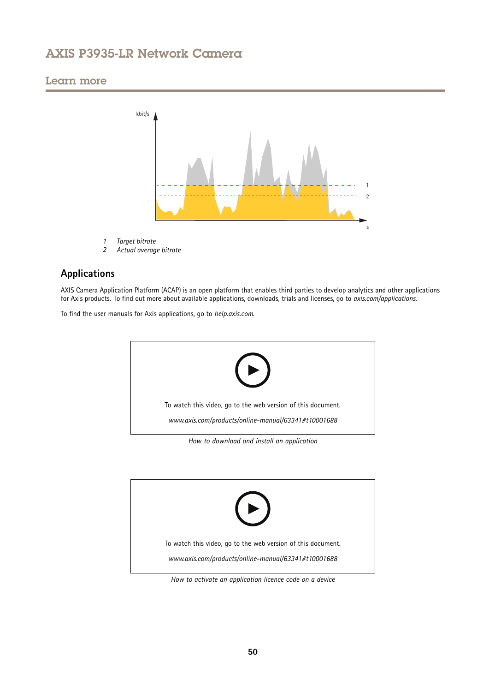### <span id="page-49-0"></span>Learn more



- *1 Target bitrate*
- *2 Actual average bitrate*

## **Applications**

AXIS Camera Application Platform (ACAP) is an open platform that enables third parties to develop analytics and other applications for Axis products. To find out more about available applications, downloads, trials and licenses, go to *[axis.com/applications](https://www.axis.com/applications)*.

To find the user manuals for Axis applications, go to *[help.axis.com](https://help.axis.com)*.





*How to activate an application licence code on <sup>a</sup> device*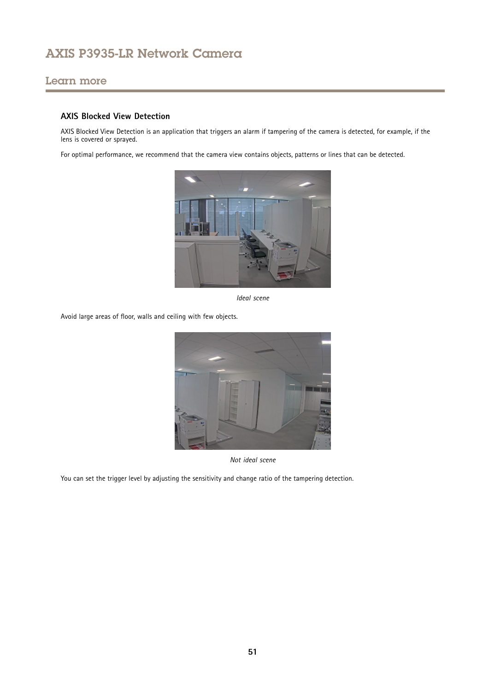### Learn more

### **AXIS Blocked View Detection**

AXIS Blocked View Detection is an application that triggers an alarm if tampering of the camera is detected, for example, if the lens is covered or sprayed.

For optimal performance, we recommend that the camera view contains objects, patterns or lines that can be detected.



*Ideal scene*

Avoid large areas of floor, walls and ceiling with few objects.



*Not ideal scene*

You can set the trigger level by adjusting the sensitivity and change ratio of the tampering detection.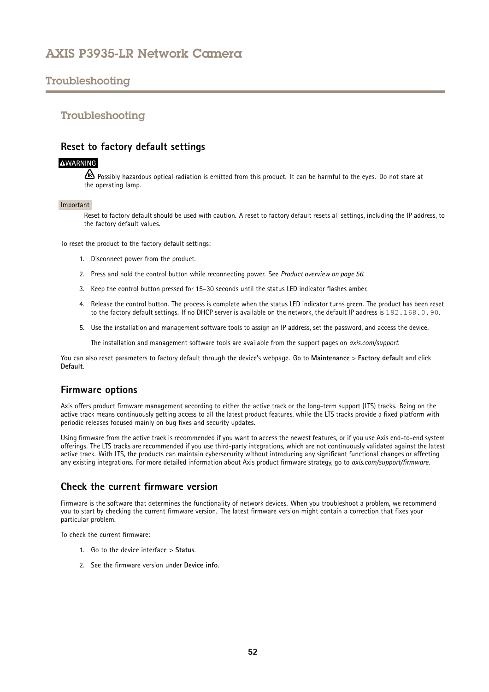## <span id="page-51-0"></span>Troubleshooting

### Troubleshooting

### **Reset to factory default settings**

### **WARNING**

 $\sqrt{m}$  Possibly hazardous optical radiation is emitted from this product. It can be harmful to the eyes. Do not stare at the operating lamp.

#### Important

Reset to factory default should be used with caution. A reset to factory default resets all settings, including the IP address, to the factory default values.

To reset the product to the factory default settings:

- 1. Disconnect power from the product.
- 2. Press and hold the control button while reconnecting power. See *Product [overview](#page-55-0) on page [56](#page-55-0)*.
- 3. Keep the control button pressed for 15–30 seconds until the status LED indicator flashes amber.
- 4. Release the control button. The process is complete when the status LED indicator turns green. The product has been reset to the factory default settings. If no DHCP server is available on the network, the default IP address is 192.168.0.90.
- 5. Use the installation and management software tools to assign an IP address, set the password, and access the device.

The installation and management software tools are available from the support pages on *[axis.com/support](https://www.axis.com/support)*.

You can also reset parameters to factory default through the device's webpage. Go to **Maintenance** <sup>&</sup>gt; **Factory default** and click **Default**.

### **Firmware options**

Axis offers product firmware management according to either the active track or the long-term support (LTS) tracks. Being on the active track means continuously getting access to all the latest product features, while the LTS tracks provide <sup>a</sup> fixed platform with periodic releases focused mainly on bug fixes and security updates.

Using firmware from the active track is recommended if you want to access the newest features, or if you use Axis end-to-end system offerings. The LTS tracks are recommended if you use third-party integrations, which are not continuously validated against the latest active track. With LTS, the products can maintain cybersecurity without introducing any significant functional changes or affecting any existing integrations. For more detailed information about Axis product firmware strategy, go to *[axis.com/support/firmware](https://www.axis.com/support/firmware)*.

### **Check the current firmware version**

Firmware is the software that determines the functionality of network devices. When you troubleshoot <sup>a</sup> problem, we recommend you to start by checking the current firmware version. The latest firmware version might contain <sup>a</sup> correction that fixes your particular problem.

To check the current firmware:

- 1. Go to the device interface <sup>&</sup>gt; **Status**.
- 2. See the firmware version under **Device info**.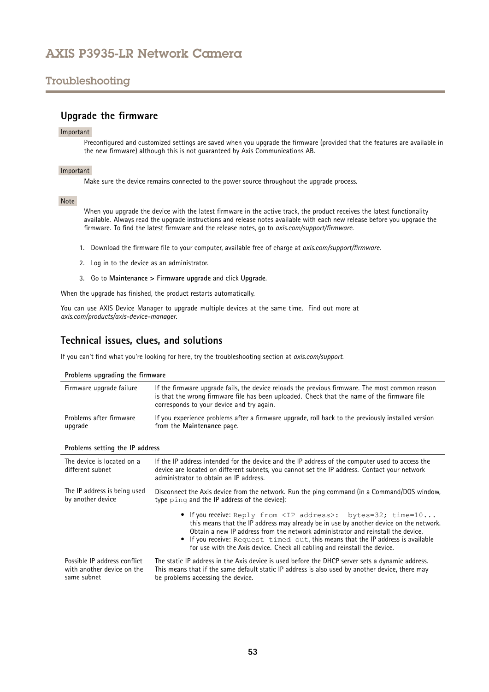## <span id="page-52-0"></span>Troubleshooting

### **Upgrade the firmware**

#### Important

Preconfigured and customized settings are saved when you upgrade the firmware (provided that the features are available in the new firmware) although this is not guaranteed by Axis Communications AB.

#### Important

Make sure the device remains connected to the power source throughout the upgrade process.

#### Note

When you upgrade the device with the latest firmware in the active track, the product receives the latest functionality available. Always read the upgrade instructions and release notes available with each new release before you upgrade the firmware. To find the latest firmware and the release notes, go to *[axis.com/support/firmware](https://www.axis.com/support/firmware)*.

- 1. Download the firmware file to your computer, available free of charge at *[axis.com/support/firmware](https://www.axis.com/support/firmware)*.
- 2. Log in to the device as an administrator.
- 3. Go to **Maintenance <sup>&</sup>gt; Firmware upgrade** and click **Upgrade**.

When the upgrade has finished, the product restarts automatically.

You can use AXIS Device Manager to upgrade multiple devices at the same time. Find out more at *[axis.com/products/axis-device-manager](https://www.axis.com/products/axis-device-manager)*.

### **Technical issues, clues, and solutions**

If you can't find what you're looking for here, try the troubleshooting section at *[axis.com/support](https://www.axis.com/support)*.

| Problems upgrading the firmware                                           |                                                                                                                                                                                                                                                                                                                                                                                                                         |  |  |
|---------------------------------------------------------------------------|-------------------------------------------------------------------------------------------------------------------------------------------------------------------------------------------------------------------------------------------------------------------------------------------------------------------------------------------------------------------------------------------------------------------------|--|--|
| Firmware upgrade failure                                                  | If the firmware upgrade fails, the device reloads the previous firmware. The most common reason<br>is that the wrong firmware file has been uploaded. Check that the name of the firmware file<br>corresponds to your device and try again.                                                                                                                                                                             |  |  |
| Problems after firmware<br>upgrade                                        | If you experience problems after a firmware upgrade, roll back to the previously installed version<br>from the Maintenance page.                                                                                                                                                                                                                                                                                        |  |  |
| Problems setting the IP address                                           |                                                                                                                                                                                                                                                                                                                                                                                                                         |  |  |
| The device is located on a<br>different subnet                            | If the IP address intended for the device and the IP address of the computer used to access the<br>device are located on different subnets, you cannot set the IP address. Contact your network<br>administrator to obtain an IP address.                                                                                                                                                                               |  |  |
| The IP address is being used<br>by another device                         | Disconnect the Axis device from the network. Run the ping command (in a Command/DOS window,<br>type ping and the IP address of the device):                                                                                                                                                                                                                                                                             |  |  |
|                                                                           | • If you receive: Reply from <ip address="">: bytes=32; time=10<br/>this means that the IP address may already be in use by another device on the network.<br/>Obtain a new IP address from the network administrator and reinstall the device.<br/>• If you receive: Request timed out, this means that the IP address is available<br/>for use with the Axis device. Check all cabling and reinstall the device.</ip> |  |  |
| Possible IP address conflict<br>with another device on the<br>same subnet | The static IP address in the Axis device is used before the DHCP server sets a dynamic address.<br>This means that if the same default static IP address is also used by another device, there may<br>be problems accessing the device.                                                                                                                                                                                 |  |  |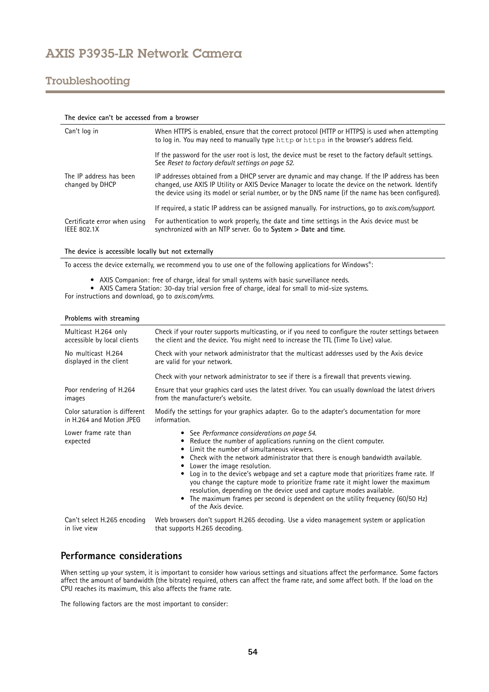## <span id="page-53-0"></span>Troubleshooting

| The device can't be accessed from a browser        |                                                                                                                                                                                                                                                                                                            |  |  |
|----------------------------------------------------|------------------------------------------------------------------------------------------------------------------------------------------------------------------------------------------------------------------------------------------------------------------------------------------------------------|--|--|
| Can't log in                                       | When HTTPS is enabled, ensure that the correct protocol (HTTP or HTTPS) is used when attempting<br>to log in. You may need to manually type http or https in the browser's address field.                                                                                                                  |  |  |
|                                                    | If the password for the user root is lost, the device must be reset to the factory default settings.<br>See Reset to factory default settings on page 52.                                                                                                                                                  |  |  |
| The IP address has been<br>changed by DHCP         | IP addresses obtained from a DHCP server are dynamic and may change. If the IP address has been<br>changed, use AXIS IP Utility or AXIS Device Manager to locate the device on the network. Identify<br>the device using its model or serial number, or by the DNS name (if the name has been configured). |  |  |
|                                                    | If required, a static IP address can be assigned manually. For instructions, go to <i>axis.com/support.</i>                                                                                                                                                                                                |  |  |
| Certificate error when using<br><b>IEEE 802.1X</b> | For authentication to work properly, the date and time settings in the Axis device must be<br>synchronized with an NTP server. Go to System > Date and time.                                                                                                                                               |  |  |

#### **The device is accessible locally but not externally**

To access the device externally, we recommend you to use one of the following applications for Windows® :

- AXIS Companion: free of charge, ideal for small systems with basic surveillance needs.
- AXIS Camera Station: 30-day trial version free of charge, ideal for small to mid-size systems.

For instructions and download, go to *[axis.com/vms](https://www.axis.com/vms)*.

#### **Problems with streaming**

| Multicast H.264 only              | Check if your router supports multicasting, or if you need to configure the router settings between                                                                                                                                                                                                                                                                                                                                                                                                                                                                                                                                                                  |  |  |
|-----------------------------------|----------------------------------------------------------------------------------------------------------------------------------------------------------------------------------------------------------------------------------------------------------------------------------------------------------------------------------------------------------------------------------------------------------------------------------------------------------------------------------------------------------------------------------------------------------------------------------------------------------------------------------------------------------------------|--|--|
| accessible by local clients       | the client and the device. You might need to increase the TTL (Time To Live) value.                                                                                                                                                                                                                                                                                                                                                                                                                                                                                                                                                                                  |  |  |
| No multicast H.264                | Check with your network administrator that the multicast addresses used by the Axis device                                                                                                                                                                                                                                                                                                                                                                                                                                                                                                                                                                           |  |  |
| displayed in the client           | are valid for your network.                                                                                                                                                                                                                                                                                                                                                                                                                                                                                                                                                                                                                                          |  |  |
|                                   | Check with your network administrator to see if there is a firewall that prevents viewing.                                                                                                                                                                                                                                                                                                                                                                                                                                                                                                                                                                           |  |  |
| Poor rendering of H.264           | Ensure that your graphics card uses the latest driver. You can usually download the latest drivers                                                                                                                                                                                                                                                                                                                                                                                                                                                                                                                                                                   |  |  |
| images                            | from the manufacturer's website.                                                                                                                                                                                                                                                                                                                                                                                                                                                                                                                                                                                                                                     |  |  |
| Color saturation is different     | Modify the settings for your graphics adapter. Go to the adapter's documentation for more                                                                                                                                                                                                                                                                                                                                                                                                                                                                                                                                                                            |  |  |
| in H.264 and Motion JPEG          | information.                                                                                                                                                                                                                                                                                                                                                                                                                                                                                                                                                                                                                                                         |  |  |
| Lower frame rate than<br>expected | • See Performance considerations on page 54.<br>Reduce the number of applications running on the client computer.<br>Limit the number of simultaneous viewers.<br>$\bullet$<br>Check with the network administrator that there is enough bandwidth available.<br>Lower the image resolution.<br>٠<br>Log in to the device's webpage and set a capture mode that prioritizes frame rate. If<br>٠<br>you change the capture mode to prioritize frame rate it might lower the maximum<br>resolution, depending on the device used and capture modes available.<br>The maximum frames per second is dependent on the utility frequency (60/50 Hz)<br>of the Axis device. |  |  |
| Can't select H.265 encoding       | Web browsers don't support H.265 decoding. Use a video management system or application                                                                                                                                                                                                                                                                                                                                                                                                                                                                                                                                                                              |  |  |

in live view that supports H.265 decoding.

### **Performance considerations**

When setting up your system, it is important to consider how various settings and situations affect the performance. Some factors affect the amount of bandwidth (the bitrate) required, others can affect the frame rate, and some affect both. If the load on the CPU reaches its maximum, this also affects the frame rate.

The following factors are the most important to consider: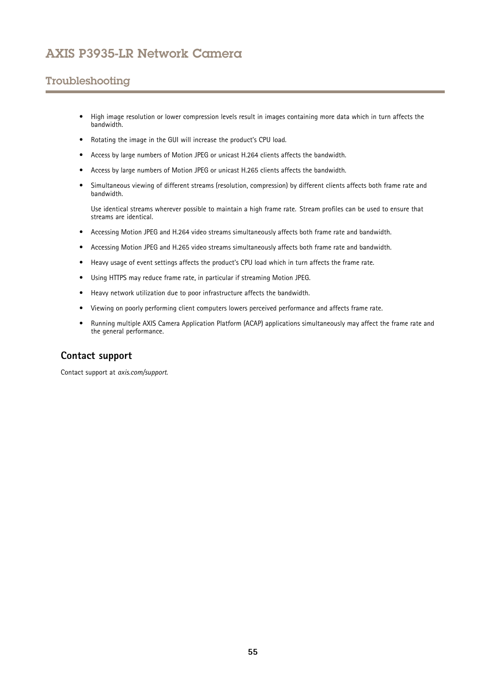## <span id="page-54-0"></span>Troubleshooting

- • High image resolution or lower compression levels result in images containing more data which in turn affects the bandwidth.
- Rotating the image in the GUI will increase the product's CPU load.
- •Access by large numbers of Motion JPEG or unicast H.264 clients affects the bandwidth.
- •Access by large numbers of Motion JPEG or unicast H.265 clients affects the bandwidth.
- • Simultaneous viewing of different streams (resolution, compression) by different clients affects both frame rate and bandwidth.

Use identical streams wherever possible to maintain <sup>a</sup> high frame rate. Stream profiles can be used to ensure that streams are identical.

- Accessing Motion JPEG and H.264 video streams simultaneously affects both frame rate and bandwidth.
- •Accessing Motion JPEG and H.265 video streams simultaneously affects both frame rate and bandwidth.
- Heavy usage of event settings affects the product's CPU load which in turn affects the frame rate.
- $\bullet$ Using HTTPS may reduce frame rate, in particular if streaming Motion JPEG.
- •Heavy network utilization due to poor infrastructure affects the bandwidth.
- •Viewing on poorly performing client computers lowers perceived performance and affects frame rate.
- • Running multiple AXIS Camera Application Platform (ACAP) applications simultaneously may affect the frame rate and the general performance.

### **Contact support**

Contact support at *[axis.com/support](https://www.axis.com/support)*.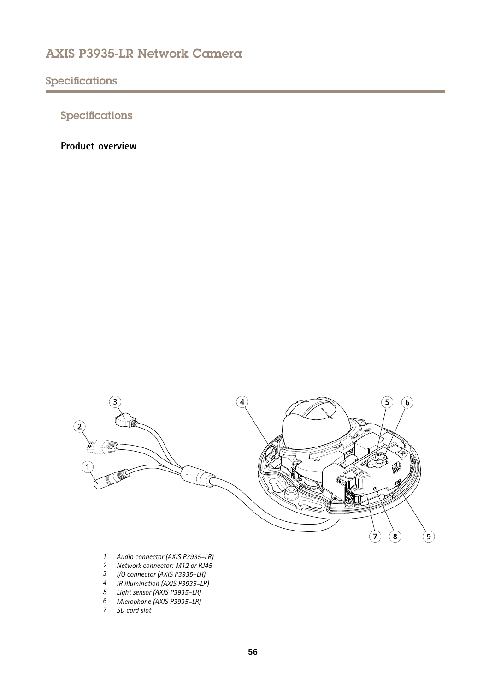<span id="page-55-0"></span>Specifications

Specifications

### **Product overview**



- *1 Audio connector (AXIS P3935–LR)*
- *2 Network connector: M12 or RJ45*
- *3 I/O connector (AXIS P3935–LR)*
- *<sup>4</sup> IR illumination (AXIS P3935–LR)*
- *<sup>5</sup> Light sensor (AXIS P3935–LR)*
- *<sup>6</sup> Microphone (AXIS P3935–LR)*
- *7 SD card slot*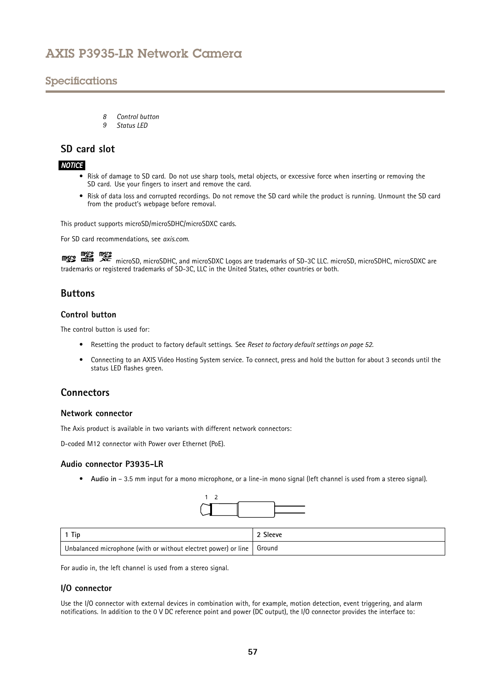### <span id="page-56-0"></span>Specifications

- *8 Control button*
- *9 Status LED*

## **SD card slot**

### *NOTICE*

- • Risk of damage to SD card. Do not use sharp tools, metal objects, or excessive force when inserting or removing the SD card. Use your fingers to insert and remove the card.
- Risk of data loss and corrupted recordings. Do not remove the SD card while the product is running. Unmount the SD card from the product's webpage before removal.

This product supports microSD/microSDHC/microSDXC cards.

For SD card recommendations, see *[axis.com](https://www.axis.com)*.



microSD, microSDHC, and microSDXC Logos are trademarks of SD-3C LLC. microSD, microSDHC, microSDXC are trademarks or registered trademarks of SD-3C, LLC in the United States, other countries or both.

### **Buttons**

### **Control button**

The control button is used for:

- Resetting the product to factory default settings. See *Reset to factory default [settings](#page-51-0) on page [52](#page-51-0)*.
- • Connecting to an AXIS Video Hosting System service. To connect, press and hold the button for about 3 seconds until the status LED flashes green.

### **Connectors**

### **Network connector**

The Axis product is available in two variants with different network connectors:

D-coded M12 connector with Power over Ethernet (PoE).

#### **Audio connector P3935-LR**

• **Audio in** – 3.5 mm input for <sup>a</sup> mono microphone, or <sup>a</sup> line-in mono signal (left channel is used from <sup>a</sup> stereo signal).



| ' Tip                                                                   | າ Sleeve |
|-------------------------------------------------------------------------|----------|
| Unbalanced microphone (with or without electret power) or line   Ground |          |

For audio in, the left channel is used from <sup>a</sup> stereo signal.

### **I/O connector**

Use the I/O connector with external devices in combination with, for example, motion detection, event triggering, and alarm notifications. In addition to the <sup>0</sup> V DC reference point and power (DC output), the I/O connector provides the interface to: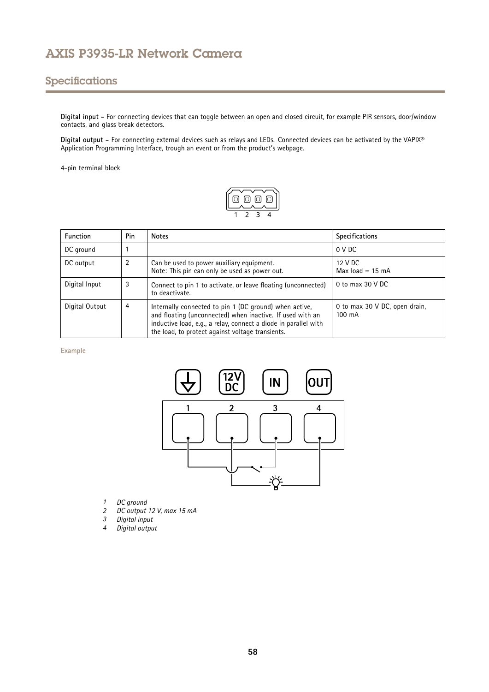## Specifications

**Digital input -** For connecting devices that can toggle between an open and closed circuit, for example PIR sensors, door/window contacts, and glass break detectors.

**Digital output -** For connecting external devices such as relays and LEDs. Connected devices can be activated by the VAPIX® Application Programming Interface, trough an event or from the product's webpage.

4-pin terminal block



| <b>Function</b> | Pin | <b>Notes</b>                                                                                                                                                                                                                               | Specifications                                    |
|-----------------|-----|--------------------------------------------------------------------------------------------------------------------------------------------------------------------------------------------------------------------------------------------|---------------------------------------------------|
| DC ground       |     |                                                                                                                                                                                                                                            | 0 V DC                                            |
| DC output       | 2   | Can be used to power auxiliary equipment.<br>Note: This pin can only be used as power out.                                                                                                                                                 | 12 V DC<br>Max $load = 15$ mA                     |
| Digital Input   | 3   | Connect to pin 1 to activate, or leave floating (unconnected)<br>to deactivate.                                                                                                                                                            | 0 to max 30 V DC                                  |
| Digital Output  | 4   | Internally connected to pin 1 (DC ground) when active,<br>and floating (unconnected) when inactive. If used with an<br>inductive load, e.g., a relay, connect a diode in parallel with<br>the load, to protect against voltage transients. | 0 to max 30 V DC, open drain,<br>$100 \text{ mA}$ |

#### **Example**



- 
- *1 DC ground 2 DC output 12 V, max 15 mA*
- *3 Digital input*
- *<sup>4</sup> Digital output*